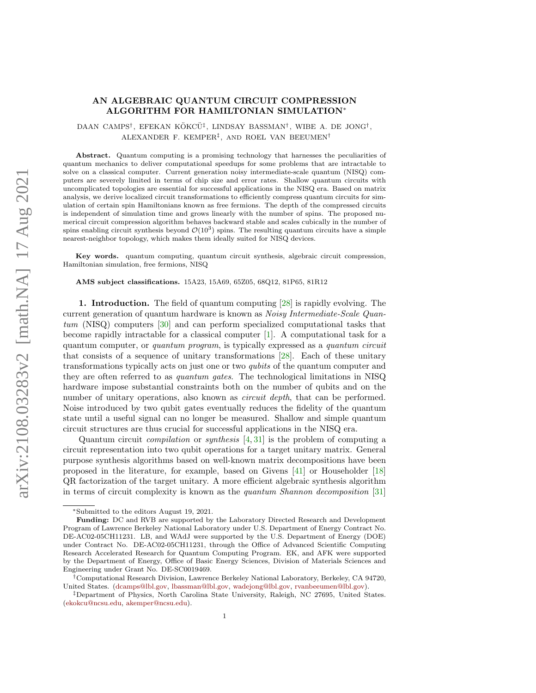## AN ALGEBRAIC QUANTUM CIRCUIT COMPRESSION ALGORITHM FOR HAMILTONIAN SIMULATION<sup>∗</sup>

DAAN CAMPS<sup>†</sup>, EFEKAN KÖKCÜ<sup>‡</sup>, LINDSAY BASSMAN<sup>†</sup>, WIBE A. DE JONG<sup>†</sup>, ALEXANDER F. KEMPER‡ , AND ROEL VAN BEEUMEN†

Abstract. Quantum computing is a promising technology that harnesses the peculiarities of quantum mechanics to deliver computational speedups for some problems that are intractable to solve on a classical computer. Current generation noisy intermediate-scale quantum (NISQ) computers are severely limited in terms of chip size and error rates. Shallow quantum circuits with uncomplicated topologies are essential for successful applications in the NISQ era. Based on matrix analysis, we derive localized circuit transformations to efficiently compress quantum circuits for simulation of certain spin Hamiltonians known as free fermions. The depth of the compressed circuits is independent of simulation time and grows linearly with the number of spins. The proposed numerical circuit compression algorithm behaves backward stable and scales cubically in the number of spins enabling circuit synthesis beyond  $\mathcal{O}(10^3)$  spins. The resulting quantum circuits have a simple nearest-neighbor topology, which makes them ideally suited for NISQ devices.

Key words. quantum computing, quantum circuit synthesis, algebraic circuit compression, Hamiltonian simulation, free fermions, NISQ

AMS subject classifications. 15A23, 15A69, 65Z05, 68Q12, 81P65, 81R12

1. Introduction. The field of quantum computing [\[28\]](#page-23-0) is rapidly evolving. The current generation of quantum hardware is known as Noisy Intermediate-Scale Quantum (NISQ) computers [\[30\]](#page-23-1) and can perform specialized computational tasks that become rapidly intractable for a classical computer [\[1\]](#page-22-0). A computational task for a quantum computer, or quantum program, is typically expressed as a quantum circuit that consists of a sequence of unitary transformations [\[28\]](#page-23-0). Each of these unitary transformations typically acts on just one or two qubits of the quantum computer and they are often referred to as quantum gates. The technological limitations in NISQ hardware impose substantial constraints both on the number of qubits and on the number of unitary operations, also known as *circuit depth*, that can be performed. Noise introduced by two qubit gates eventually reduces the fidelity of the quantum state until a useful signal can no longer be measured. Shallow and simple quantum circuit structures are thus crucial for successful applications in the NISQ era.

Quantum circuit compilation or synthesis [\[4,](#page-22-1) [31\]](#page-23-2) is the problem of computing a circuit representation into two qubit operations for a target unitary matrix. General purpose synthesis algorithms based on well-known matrix decompositions have been proposed in the literature, for example, based on Givens [\[41\]](#page-24-0) or Householder [\[18\]](#page-23-3) QR factorization of the target unitary. A more efficient algebraic synthesis algorithm in terms of circuit complexity is known as the quantum Shannon decomposition [\[31\]](#page-23-2)

<sup>∗</sup>Submitted to the editors August 19, 2021.

Funding: DC and RVB are supported by the Laboratory Directed Research and Development Program of Lawrence Berkeley National Laboratory under U.S. Department of Energy Contract No. DE-AC02-05CH11231. LB, and WAdJ were supported by the U.S. Department of Energy (DOE) under Contract No. DE-AC02-05CH11231, through the Office of Advanced Scientific Computing Research Accelerated Research for Quantum Computing Program. EK, and AFK were supported by the Department of Energy, Office of Basic Energy Sciences, Division of Materials Sciences and Engineering under Grant No. DE-SC0019469.

<sup>†</sup>Computational Research Division, Lawrence Berkeley National Laboratory, Berkeley, CA 94720, United States. [\(dcamps@lbl.gov,](mailto:dcamps@lbl.gov) [lbassman@lbl.gov,](mailto:lbassman@lbl.gov) [wadejong@lbl.gov,](mailto:wadejong@lbl.gov) [rvanbeeumen@lbl.gov\)](mailto:rvanbeeumen@lbl.gov).

<sup>‡</sup>Department of Physics, North Carolina State University, Raleigh, NC 27695, United States. [\(ekokcu@ncsu.edu,](mailto:ekokcu@ncsu.edu) [akemper@ncsu.edu\)](mailto:akemper@ncsu.edu).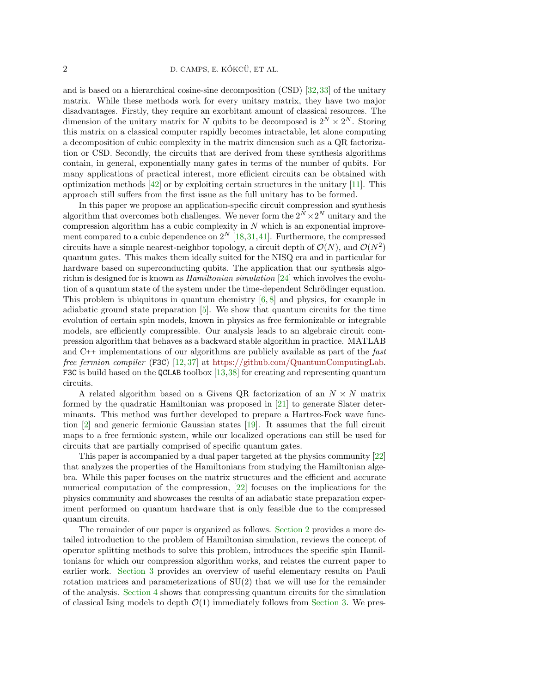and is based on a hierarchical cosine-sine decomposition (CSD) [\[32,](#page-23-4)[33\]](#page-23-5) of the unitary matrix. While these methods work for every unitary matrix, they have two major disadvantages. Firstly, they require an exorbitant amount of classical resources. The dimension of the unitary matrix for N qubits to be decomposed is  $2^N \times 2^N$ . Storing this matrix on a classical computer rapidly becomes intractable, let alone computing a decomposition of cubic complexity in the matrix dimension such as a QR factorization or CSD. Secondly, the circuits that are derived from these synthesis algorithms contain, in general, exponentially many gates in terms of the number of qubits. For many applications of practical interest, more efficient circuits can be obtained with optimization methods  $[42]$  or by exploiting certain structures in the unitary [\[11\]](#page-22-2). This approach still suffers from the first issue as the full unitary has to be formed.

In this paper we propose an application-specific circuit compression and synthesis algorithm that overcomes both challenges. We never form the  $2^N \times 2^N$  unitary and the compression algorithm has a cubic complexity in  $N$  which is an exponential improvement compared to a cubic dependence on  $2^N$  [\[18,](#page-23-3)[31,](#page-23-2)[41\]](#page-24-0). Furthermore, the compressed circuits have a simple nearest-neighbor topology, a circuit depth of  $\mathcal{O}(N)$ , and  $\mathcal{O}(N^2)$ quantum gates. This makes them ideally suited for the NISQ era and in particular for hardware based on superconducting qubits. The application that our synthesis algorithm is designed for is known as *Hamiltonian simulation* [\[24\]](#page-23-6) which involves the evolution of a quantum state of the system under the time-dependent Schrödinger equation. This problem is ubiquitous in quantum chemistry  $[6, 8]$  $[6, 8]$  $[6, 8]$  and physics, for example in adiabatic ground state preparation  $[5]$ . We show that quantum circuits for the time evolution of certain spin models, known in physics as free fermionizable or integrable models, are efficiently compressible. Our analysis leads to an algebraic circuit compression algorithm that behaves as a backward stable algorithm in practice. MATLAB and C++ implementations of our algorithms are publicly available as part of the fast free fermion compiler (F3C) [\[12,](#page-22-6) [37\]](#page-23-7) at [https://github.com/QuantumComputingLab.](https://github.com/QuantumComputingLab) F3C is build based on the QCLAB toolbox [\[13,](#page-23-8)[38\]](#page-23-9) for creating and representing quantum circuits.

A related algorithm based on a Givens QR factorization of an  $N \times N$  matrix formed by the quadratic Hamiltonian was proposed in [\[21\]](#page-23-10) to generate Slater determinants. This method was further developed to prepare a Hartree-Fock wave function [\[2\]](#page-22-7) and generic fermionic Gaussian states [\[19\]](#page-23-11). It assumes that the full circuit maps to a free fermionic system, while our localized operations can still be used for circuits that are partially comprised of specific quantum gates.

This paper is accompanied by a dual paper targeted at the physics community [\[22\]](#page-23-12) that analyzes the properties of the Hamiltonians from studying the Hamiltonian algebra. While this paper focuses on the matrix structures and the efficient and accurate numerical computation of the compression, [\[22\]](#page-23-12) focuses on the implications for the physics community and showcases the results of an adiabatic state preparation experiment performed on quantum hardware that is only feasible due to the compressed quantum circuits.

The remainder of our paper is organized as follows. [Section 2](#page-2-0) provides a more detailed introduction to the problem of Hamiltonian simulation, reviews the concept of operator splitting methods to solve this problem, introduces the specific spin Hamiltonians for which our compression algorithm works, and relates the current paper to earlier work. [Section 3](#page-4-0) provides an overview of useful elementary results on Pauli rotation matrices and parameterizations of  $SU(2)$  that we will use for the remainder of the analysis. [Section 4](#page-8-0) shows that compressing quantum circuits for the simulation of classical Ising models to depth  $\mathcal{O}(1)$  immediately follows from [Section 3.](#page-4-0) We pres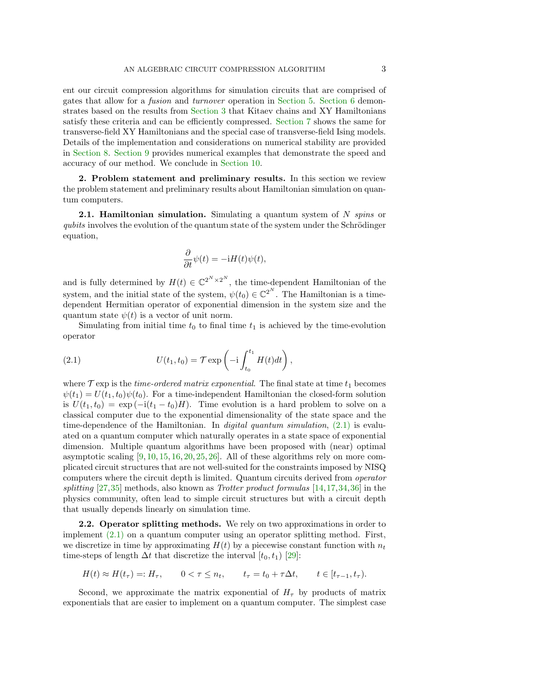ent our circuit compression algorithms for simulation circuits that are comprised of gates that allow for a fusion and turnover operation in [Section 5.](#page-10-0) [Section 6](#page-13-0) demonstrates based on the results from [Section 3](#page-4-0) that Kitaev chains and XY Hamiltonians satisfy these criteria and can be efficiently compressed. [Section 7](#page-15-0) shows the same for transverse-field XY Hamiltonians and the special case of transverse-field Ising models. Details of the implementation and considerations on numerical stability are provided in [Section 8.](#page-16-0) [Section 9](#page-20-0) provides numerical examples that demonstrate the speed and accuracy of our method. We conclude in [Section 10.](#page-21-0)

<span id="page-2-0"></span>2. Problem statement and preliminary results. In this section we review the problem statement and preliminary results about Hamiltonian simulation on quantum computers.

**2.1. Hamiltonian simulation.** Simulating a quantum system of  $N$  spins or  $qubits$  involves the evolution of the quantum state of the system under the Schrödinger equation,

$$
\frac{\partial}{\partial t}\psi(t)=-\mathrm{i} H(t)\psi(t),
$$

and is fully determined by  $H(t) \in \mathbb{C}^{2^N \times 2^N}$ , the time-dependent Hamiltonian of the system, and the initial state of the system,  $\psi(t_0) \in \mathbb{C}^{2^N}$ . The Hamiltonian is a timedependent Hermitian operator of exponential dimension in the system size and the quantum state  $\psi(t)$  is a vector of unit norm.

Simulating from initial time  $t_0$  to final time  $t_1$  is achieved by the time-evolution operator

<span id="page-2-1"></span>(2.1) 
$$
U(t_1, t_0) = \mathcal{T} \exp\left(-i \int_{t_0}^{t_1} H(t) dt\right),
$$

where  $\mathcal T$  exp is the *time-ordered matrix exponential*. The final state at time  $t_1$  becomes  $\psi(t_1) = U(t_1, t_0)\psi(t_0)$ . For a time-independent Hamiltonian the closed-form solution is  $U(t_1, t_0) = \exp(-i(t_1 - t_0)H)$ . Time evolution is a hard problem to solve on a classical computer due to the exponential dimensionality of the state space and the time-dependence of the Hamiltonian. In *digital quantum simulation*,  $(2.1)$  is evaluated on a quantum computer which naturally operates in a state space of exponential dimension. Multiple quantum algorithms have been proposed with (near) optimal asymptotic scaling  $[9, 10, 15, 16, 20, 25, 26]$  $[9, 10, 15, 16, 20, 25, 26]$  $[9, 10, 15, 16, 20, 25, 26]$  $[9, 10, 15, 16, 20, 25, 26]$  $[9, 10, 15, 16, 20, 25, 26]$  $[9, 10, 15, 16, 20, 25, 26]$  $[9, 10, 15, 16, 20, 25, 26]$  $[9, 10, 15, 16, 20, 25, 26]$  $[9, 10, 15, 16, 20, 25, 26]$  $[9, 10, 15, 16, 20, 25, 26]$  $[9, 10, 15, 16, 20, 25, 26]$  $[9, 10, 15, 16, 20, 25, 26]$  $[9, 10, 15, 16, 20, 25, 26]$ . All of these algorithms rely on more complicated circuit structures that are not well-suited for the constraints imposed by NISQ computers where the circuit depth is limited. Quantum circuits derived from operator splitting  $[27,35]$  $[27,35]$  methods, also known as *Trotter product formulas*  $[14,17,34,36]$  $[14,17,34,36]$  $[14,17,34,36]$  $[14,17,34,36]$  in the physics community, often lead to simple circuit structures but with a circuit depth that usually depends linearly on simulation time.

2.2. Operator splitting methods. We rely on two approximations in order to implement [\(2.1\)](#page-2-1) on a quantum computer using an operator splitting method. First, we discretize in time by approximating  $H(t)$  by a piecewise constant function with  $n_t$ time-steps of length  $\Delta t$  that discretize the interval  $[t_0, t_1)$  [\[29\]](#page-23-24):

$$
H(t) \approx H(t_{\tau}) =: H_{\tau}, \qquad 0 < \tau \le n_t, \qquad t_{\tau} = t_0 + \tau \Delta t, \qquad t \in [t_{\tau-1}, t_{\tau}).
$$

Second, we approximate the matrix exponential of  $H_{\tau}$  by products of matrix exponentials that are easier to implement on a quantum computer. The simplest case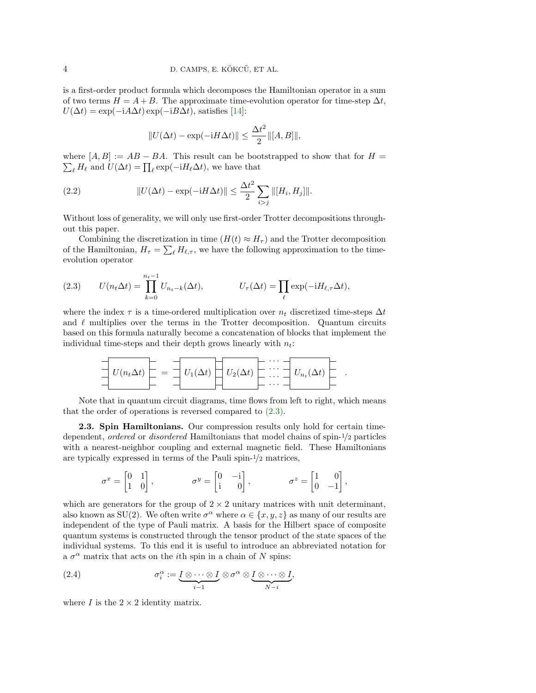is a first-order product formula which decomposes the Hamiltonian operator in a sum of two terms  $H = A + B$ . The approximate time-evolution operator for time-step  $\Delta t$ ,  $U(\Delta t) = \exp(-iA\Delta t) \exp(-iB\Delta t)$ , satisfies [\[14\]](#page-23-20):

<span id="page-3-1"></span>
$$
||U(\Delta t) - \exp(-\mathrm{i}H\Delta t)|| \leq \frac{\Delta t^2}{2} ||[A, B]||,
$$

where  $[A, B] := AB - BA$ . This result can be bootstrapped to show that for  $H =$  $\sum_{\ell} H_{\ell}$  and  $U(\Delta t) = \prod_{\ell} \exp(-iH_{\ell}\Delta t)$ , we have that

(2.2) 
$$
||U(\Delta t) - \exp(-iH\Delta t)|| \leq \frac{\Delta t^2}{2} \sum_{i > j} ||[H_i, H_j]||.
$$

Without loss of generality, we will only use first-order Trotter decompositions throughout this paper.

Combining the discretization in time  $(H(t) \approx H_\tau)$  and the Trotter decomposition of the Hamiltonian,  $H_{\tau} = \sum_{\ell} H_{\ell,\tau}$ , we have the following approximation to the timeevolution operator

<span id="page-3-0"></span>(2.3) 
$$
U(n_t \Delta t) = \prod_{k=0}^{n_t - 1} U_{n_t - k}(\Delta t), \qquad U_\tau(\Delta t) = \prod_{\ell} \exp(-iH_{\ell, \tau} \Delta t),
$$

where the index  $\tau$  is a time-ordered multiplication over  $n_t$  discretized time-steps  $\Delta t$ and  $\ell$  multiplies over the terms in the Trotter decomposition. Quantum circuits based on this formula naturally become a concatenation of blocks that implement the individual time-steps and their depth grows linearly with  $n_t$ :

$$
U(n_t \Delta t) = \frac{1}{\Delta t} U_1(\Delta t) \left[\begin{array}{c} \cdots \\ \cdots \\ \cdots \end{array}\right] U_2(\Delta t) \left[\begin{array}{c} \cdots \\ \cdots \\ \cdots \end{array}\right] U_{n_t}(\Delta t) \left[\begin{array}{c} \cdots \\ \cdots \\ \cdots \end{array}\right]
$$

.

Note that in quantum circuit diagrams, time flows from left to right, which means that the order of operations is reversed compared to [\(2.3\).](#page-3-0)

2.3. Spin Hamiltonians. Our compression results only hold for certain timedependent, ordered or disordered Hamiltonians that model chains of spin-1/2 particles with a nearest-neighbor coupling and external magnetic field. These Hamiltonians are typically expressed in terms of the Pauli spin-1/2 matrices,

$$
\sigma^x = \begin{bmatrix} 0 & 1 \\ 1 & 0 \end{bmatrix}, \qquad \qquad \sigma^y = \begin{bmatrix} 0 & -\mathrm{i} \\ \mathrm{i} & 0 \end{bmatrix}, \qquad \qquad \sigma^z = \begin{bmatrix} 1 & 0 \\ 0 & -1 \end{bmatrix},
$$

which are generators for the group of  $2 \times 2$  unitary matrices with unit determinant, also known as SU(2). We often write  $\sigma^{\alpha}$  where  $\alpha \in \{x, y, z\}$  as many of our results are independent of the type of Pauli matrix. A basis for the Hilbert space of composite quantum systems is constructed through the tensor product of the state spaces of the individual systems. To this end it is useful to introduce an abbreviated notation for a  $\sigma^{\alpha}$  matrix that acts on the *i*th spin in a chain of N spins:

(2.4) 
$$
\sigma_i^{\alpha} := \underbrace{I \otimes \cdots \otimes I}_{i-1} \otimes \sigma^{\alpha} \otimes \underbrace{I \otimes \cdots \otimes I}_{N-i},
$$

where  $I$  is the  $2 \times 2$  identity matrix.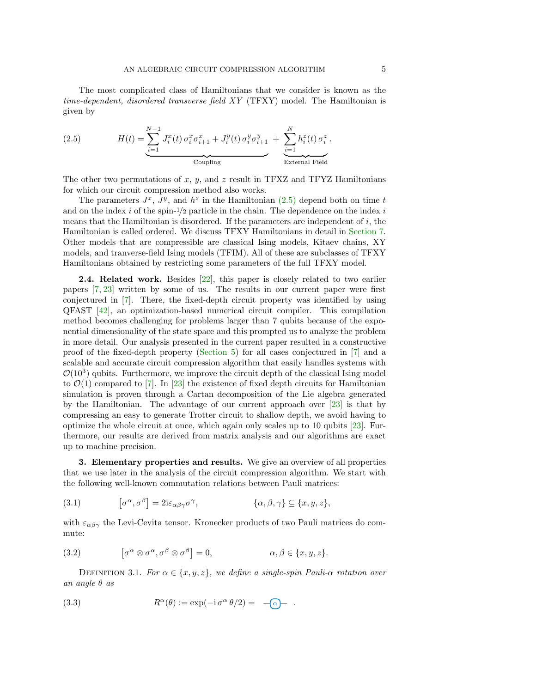The most complicated class of Hamiltonians that we consider is known as the time-dependent, disordered transverse field XY (TFXY) model. The Hamiltonian is given by

<span id="page-4-1"></span>(2.5) 
$$
H(t) = \underbrace{\sum_{i=1}^{N-1} J_i^x(t) \sigma_i^x \sigma_{i+1}^x + J_i^y(t) \sigma_i^y \sigma_{i+1}^y}_{\text{Coupling}} + \underbrace{\sum_{i=1}^{N} h_i^z(t) \sigma_i^z}_{\text{External Field}}.
$$

The other two permutations of x, y, and z result in TFXZ and TFYZ Hamiltonians for which our circuit compression method also works.

The parameters  $J^x$ ,  $J^y$ , and  $h^z$  in the Hamiltonian  $(2.5)$  depend both on time t and on the index  $i$  of the spin- $1/2$  particle in the chain. The dependence on the index  $i$ means that the Hamiltonian is disordered. If the parameters are independent of  $i$ , the Hamiltonian is called ordered. We discuss TFXY Hamiltonians in detail in [Section 7.](#page-15-0) Other models that are compressible are classical Ising models, Kitaev chains, XY models, and tranverse-field Ising models (TFIM). All of these are subclasses of TFXY Hamiltonians obtained by restricting some parameters of the full TFXY model.

2.4. Related work. Besides [\[22\]](#page-23-12), this paper is closely related to two earlier papers [\[7,](#page-22-10) [23\]](#page-23-25) written by some of us. The results in our current paper were first conjectured in [\[7\]](#page-22-10). There, the fixed-depth circuit property was identified by using QFAST [\[42\]](#page-24-1), an optimization-based numerical circuit compiler. This compilation method becomes challenging for problems larger than 7 qubits because of the exponential dimensionality of the state space and this prompted us to analyze the problem in more detail. Our analysis presented in the current paper resulted in a constructive proof of the fixed-depth property [\(Section 5\)](#page-10-0) for all cases conjectured in [\[7\]](#page-22-10) and a scalable and accurate circuit compression algorithm that easily handles systems with  $\mathcal{O}(10^3)$  qubits. Furthermore, we improve the circuit depth of the classical Ising model to  $\mathcal{O}(1)$  compared to [\[7\]](#page-22-10). In [\[23\]](#page-23-25) the existence of fixed depth circuits for Hamiltonian simulation is proven through a Cartan decomposition of the Lie algebra generated by the Hamiltonian. The advantage of our current approach over [\[23\]](#page-23-25) is that by compressing an easy to generate Trotter circuit to shallow depth, we avoid having to optimize the whole circuit at once, which again only scales up to 10 qubits [\[23\]](#page-23-25). Furthermore, our results are derived from matrix analysis and our algorithms are exact up to machine precision.

<span id="page-4-0"></span>3. Elementary properties and results. We give an overview of all properties that we use later in the analysis of the circuit compression algorithm. We start with the following well-known commutation relations between Pauli matrices:

<span id="page-4-3"></span>(3.1) 
$$
[\sigma^{\alpha}, \sigma^{\beta}] = 2i\varepsilon_{\alpha\beta\gamma}\sigma^{\gamma}, \qquad \{\alpha, \beta, \gamma\} \subseteq \{x, y, z\},\
$$

with  $\varepsilon_{\alpha\beta\gamma}$  the Levi-Cevita tensor. Kronecker products of two Pauli matrices do commute:

<span id="page-4-4"></span>(3.2) 
$$
[\sigma^{\alpha} \otimes \sigma^{\alpha}, \sigma^{\beta} \otimes \sigma^{\beta}] = 0, \qquad \alpha, \beta \in \{x, y, z\}.
$$

<span id="page-4-2"></span>DEFINITION 3.1. For  $\alpha \in \{x, y, z\}$ , we define a single-spin Pauli- $\alpha$  rotation over an angle  $\theta$  as

(3.3) 
$$
R^{\alpha}(\theta) := \exp(-i \sigma^{\alpha} \theta/2) = -\widehat{\alpha}.
$$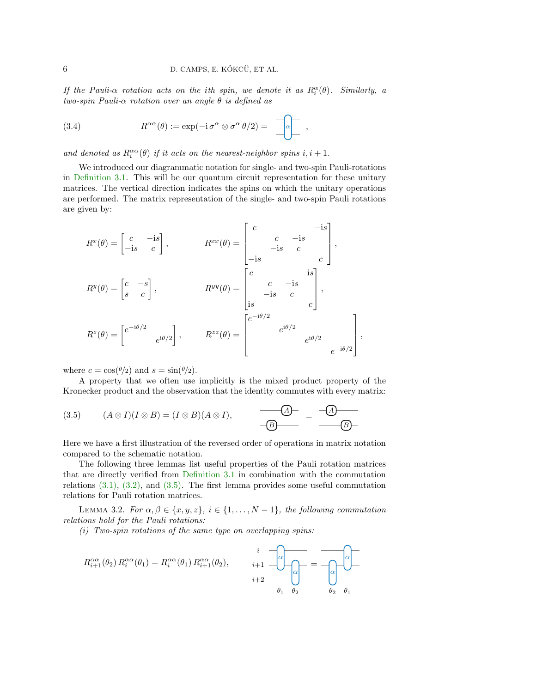If the Pauli- $\alpha$  rotation acts on the ith spin, we denote it as  $R_i^{\alpha}(\theta)$ . Similarly, a two-spin Pauli- $\alpha$  rotation over an angle  $\theta$  is defined as

(3.4) 
$$
R^{\alpha\alpha}(\theta) := \exp(-i \sigma^{\alpha} \otimes \sigma^{\alpha} \theta/2) = \left[\begin{array}{c} -\end{array}\right],
$$

and denoted as  $R_i^{\alpha\alpha}(\theta)$  if it acts on the nearest-neighbor spins  $i, i + 1$ .

We introduced our diagrammatic notation for single- and two-spin Pauli-rotations in [Definition 3.1.](#page-4-2) This will be our quantum circuit representation for these unitary matrices. The vertical direction indicates the spins on which the unitary operations are performed. The matrix representation of the single- and two-spin Pauli rotations are given by:

$$
R^{x}(\theta) = \begin{bmatrix} c & -is \\ -is & c \end{bmatrix}, \qquad R^{xx}(\theta) = \begin{bmatrix} c & -is \\ -is & c \\ -is & c \end{bmatrix},
$$
  
\n
$$
R^{y}(\theta) = \begin{bmatrix} c & -s \\ s & c \end{bmatrix}, \qquad R^{yy}(\theta) = \begin{bmatrix} c & -is \\ -is & c \\ is & -is \end{bmatrix},
$$
  
\n
$$
R^{z}(\theta) = \begin{bmatrix} e^{-i\theta/2} & e^{i\theta/2} \\ e^{i\theta/2} & e^{i\theta/2} \end{bmatrix}, \qquad R^{zz}(\theta) = \begin{bmatrix} e^{-i\theta/2} & e^{i\theta/2} \\ e^{i\theta/2} & e^{i\theta/2} \\ e^{-i\theta/2} & e^{-i\theta/2} \end{bmatrix},
$$

where  $c = \cos(\theta/2)$  and  $s = \sin(\theta/2)$ .

A property that we often use implicitly is the mixed product property of the Kronecker product and the observation that the identity commutes with every matrix:

<span id="page-5-0"></span>(3.5) 
$$
(A \otimes I)(I \otimes B) = (I \otimes B)(A \otimes I), \qquad \qquad \overline{\longrightarrow} \overline{A} \qquad \qquad \overline{\longrightarrow} \overline{A}
$$

Here we have a first illustration of the reversed order of operations in matrix notation compared to the schematic notation.

The following three lemmas list useful properties of the Pauli rotation matrices that are directly verified from [Definition 3.1](#page-4-2) in combination with the commutation relations [\(3.1\),](#page-4-3) [\(3.2\),](#page-4-4) and [\(3.5\).](#page-5-0) The first lemma provides some useful commutation relations for Pauli rotation matrices.

<span id="page-5-1"></span>LEMMA 3.2. For  $\alpha, \beta \in \{x, y, z\}, i \in \{1, \ldots, N-1\},\$  the following commutation relations hold for the Pauli rotations:

<span id="page-5-2"></span> $(i)$  Two-spin rotations of the same type on overlapping spins:

<span id="page-5-3"></span>
$$
R_{i+1}^{\alpha\alpha}(\theta_2) R_i^{\alpha\alpha}(\theta_1) = R_i^{\alpha\alpha}(\theta_1) R_{i+1}^{\alpha\alpha}(\theta_2), \qquad i+1 \quad \text{or} \quad \text{or} \quad \text{or} \quad \text{or} \quad \text{or} \quad \text{or} \quad \text{or} \quad \text{or} \quad \text{or} \quad \text{or} \quad \text{or} \quad \text{or} \quad \text{or} \quad \text{or} \quad \text{or} \quad \text{or} \quad \text{or} \quad \text{or} \quad \text{or} \quad \text{or} \quad \text{or} \quad \text{or} \quad \text{or} \quad \text{or} \quad \text{or} \quad \text{or} \quad \text{or} \quad \text{or} \quad \text{or} \quad \text{or} \quad \text{or} \quad \text{or} \quad \text{or} \quad \text{or} \quad \text{or} \quad \text{or} \quad \text{or} \quad \text{or} \quad \text{or} \quad \text{or} \quad \text{or} \quad \text{or} \quad \text{or} \quad \text{or} \quad \text{or} \quad \text{or} \quad \text{or} \quad \text{or} \quad \text{or} \quad \text{or} \quad \text{or} \quad \text{or} \quad \text{or} \quad \text{or} \quad \text{or} \quad \text{or} \quad \text{or} \quad \text{or} \quad \text{or} \quad \text{or} \quad \text{or} \quad \text{or} \quad \text{or} \quad \text{or} \quad \text{or} \quad \text{or} \quad \text{or} \quad \text{or} \quad \text{or} \quad \text{or} \quad \text{or} \quad \text{or} \quad \text{or} \quad \text{or} \quad \text{or} \quad \text{or} \quad \text{or} \quad \text{or} \quad \text{or} \quad \text{or} \quad \text{or} \quad \text{or} \quad \text{or} \quad \text{or} \quad \text{or} \quad \text{or} \quad \text{or} \quad \text{or} \quad \text{or} \quad \text{or} \quad \text{or} \quad \text{or} \quad \text{or} \quad \text{or} \quad \text{or} \quad \text{or} \quad \text{or} \quad \text{or} \quad \text{or
$$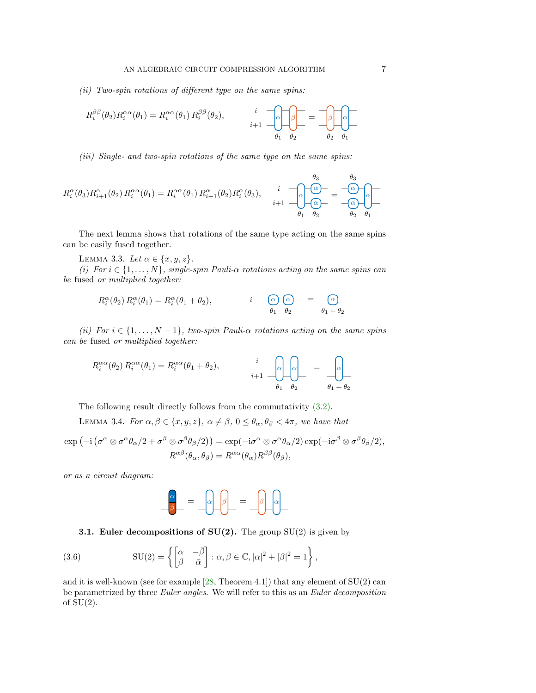(ii) Two-spin rotations of different type on the same spins:

$$
R_i^{\beta\beta}(\theta_2)R_i^{\alpha\alpha}(\theta_1) = R_i^{\alpha\alpha}(\theta_1) R_i^{\beta\beta}(\theta_2), \qquad \begin{array}{c} i \\ i+1 \end{array} \begin{bmatrix} \alpha \\ \beta \end{bmatrix} = \begin{bmatrix} \beta \\ \beta \\ \beta \end{bmatrix} \begin{bmatrix} \alpha \\ \alpha \\ \beta \end{bmatrix}
$$

(iii) Single- and two-spin rotations of the same type on the same spins:

$$
R_i^{\alpha}(\theta_3)R_{i+1}^{\alpha}(\theta_2) R_i^{\alpha\alpha}(\theta_1) = R_i^{\alpha\alpha}(\theta_1) R_{i+1}^{\alpha}(\theta_2)R_i^{\alpha}(\theta_3), \qquad i \quad \text{or} \quad \frac{\theta_3}{i+1} \quad \text{or} \quad \frac{\theta_3}{\alpha} = \text{or} \quad \frac{\theta_3}{\alpha}
$$
\n
$$
i+1 \quad \text{or} \quad \frac{\alpha}{\alpha} = \text{or} \quad \frac{\alpha}{\alpha} \quad \text{or} \quad \frac{\alpha}{\alpha} = \text{or} \quad \frac{\alpha}{\alpha} \quad \text{or} \quad \frac{\alpha}{\alpha} = \text{or} \quad \frac{\alpha}{\alpha} \quad \text{or} \quad \frac{\alpha}{\alpha} = \text{or} \quad \frac{\alpha}{\alpha} \quad \text{or} \quad \frac{\alpha}{\alpha} = \text{or} \quad \frac{\alpha}{\alpha} \quad \text{or} \quad \frac{\alpha}{\alpha} = \text{or} \quad \frac{\alpha}{\alpha} \quad \text{or} \quad \frac{\alpha}{\alpha} = \text{or} \quad \frac{\alpha}{\alpha} \quad \text{or} \quad \frac{\alpha}{\alpha} = \text{or} \quad \frac{\alpha}{\alpha} \quad \text{or} \quad \frac{\alpha}{\alpha} = \text{or} \quad \frac{\alpha}{\alpha} \quad \text{or} \quad \frac{\alpha}{\alpha} = \text{or} \quad \frac{\alpha}{\alpha} \quad \text{or} \quad \frac{\alpha}{\alpha} = \text{or} \quad \frac{\alpha}{\alpha} \quad \text{or} \quad \frac{\alpha}{\alpha} = \text{or} \quad \frac{\alpha}{\alpha} \quad \text{or} \quad \frac{\alpha}{\alpha} = \text{or} \quad \frac{\alpha}{\alpha} \quad \text{or} \quad \frac{\alpha}{\alpha} = \text{or} \quad \frac{\alpha}{\alpha} \quad \text{or} \quad \frac{\alpha}{\alpha} = \text{or} \quad \frac{\alpha}{\alpha} \quad \text{or} \quad \frac{\alpha}{\alpha} = \text{or} \quad \frac{\alpha}{\alpha} \quad \text{or} \quad \frac{\alpha}{\alpha} = \text{or} \quad \frac{\alpha}{\alpha} \quad \text{or} \quad \frac{\alpha}{\alpha} = \text{or} \quad \frac{\alpha}{\alpha} \quad \text{or} \quad \frac{\alpha
$$

The next lemma shows that rotations of the same type acting on the same spins can be easily fused together.

LEMMA 3.3. Let  $\alpha \in \{x, y, z\}$ .

(i) For  $i \in \{1, \ldots, N\}$ , single-spin Pauli- $\alpha$  rotations acting on the same spins can be fused or multiplied together:

<span id="page-6-0"></span>
$$
R_i^{\alpha}(\theta_2) R_i^{\alpha}(\theta_1) = R_i^{\alpha}(\theta_1 + \theta_2), \qquad i \quad -\widehat{\alpha} \cdot \widehat{\alpha} - \widehat{\alpha} - \widehat{\alpha} - \widehat{\alpha} - \widehat{\alpha} - \widehat{\alpha} - \widehat{\alpha} - \widehat{\alpha} - \widehat{\alpha} - \widehat{\alpha} - \widehat{\alpha} - \widehat{\alpha} - \widehat{\alpha} - \widehat{\alpha} - \widehat{\alpha} - \widehat{\alpha} - \widehat{\alpha} - \widehat{\alpha} - \widehat{\alpha} - \widehat{\alpha} - \widehat{\alpha} - \widehat{\alpha} - \widehat{\alpha} - \widehat{\alpha} - \widehat{\alpha} - \widehat{\alpha} - \widehat{\alpha} - \widehat{\alpha} - \widehat{\alpha} - \widehat{\alpha} - \widehat{\alpha} - \widehat{\alpha} - \widehat{\alpha} - \widehat{\alpha} - \widehat{\alpha} - \widehat{\alpha} - \widehat{\alpha} - \widehat{\alpha} - \widehat{\alpha} - \widehat{\alpha} - \widehat{\alpha} - \widehat{\alpha} - \widehat{\alpha} - \widehat{\alpha} - \widehat{\alpha} - \widehat{\alpha} - \widehat{\alpha} - \widehat{\alpha} - \widehat{\alpha} - \widehat{\alpha} - \widehat{\alpha} - \widehat{\alpha} - \widehat{\alpha} - \widehat{\alpha} - \widehat{\alpha} - \widehat{\alpha} - \widehat{\alpha} - \widehat{\alpha} - \widehat{\alpha} - \widehat{\alpha} - \widehat{\alpha} - \widehat{\alpha} - \widehat{\alpha} - \widehat{\alpha} - \widehat{\alpha} - \widehat{\alpha} - \widehat{\alpha} - \widehat{\alpha} - \widehat{\alpha} - \widehat{\alpha} - \widehat{\alpha} - \widehat{\alpha} - \widehat{\alpha} - \widehat{\alpha} - \widehat{\alpha} - \widehat{\alpha} - \widehat{\alpha} - \widehat{\alpha} - \widehat{\alpha} - \widehat{\alpha} - \widehat{\alpha} - \widehat{\alpha} - \widehat{\alpha} - \widehat{\alpha} - \widehat{\alpha} - \widehat{\alpha} - \widehat{\alpha} - \widehat{\alpha} - \widehat{\alpha} - \widehat{\alpha} - \widehat{\alpha} - \widehat{\alpha} - \widehat{\alpha} - \widehat{\alpha} - \widehat{\alpha} - \widehat{\alpha} - \widehat{\alpha} - \widehat{\alpha} - \widehat{\alpha} - \widehat{\alpha} - \widehat{\alpha
$$

<span id="page-6-1"></span>(ii) For  $i \in \{1, \ldots, N-1\}$ , two-spin Pauli- $\alpha$  rotations acting on the same spins can be fused or multiplied together:

$$
R_i^{\alpha\alpha}(\theta_2) R_i^{\alpha\alpha}(\theta_1) = R_i^{\alpha\alpha}(\theta_1 + \theta_2), \qquad i \quad \text{or} \quad \text{or} \quad \text{or} \quad \text{or} \quad \text{or} \quad \text{or} \quad \text{or} \quad \text{or} \quad \text{or} \quad \text{or} \quad \text{or} \quad \text{or} \quad \text{or} \quad \text{or} \quad \text{or} \quad \text{or} \quad \text{or} \quad \text{or} \quad \text{or} \quad \text{or} \quad \text{or} \quad \text{or} \quad \text{or} \quad \text{or} \quad \text{or} \quad \text{or} \quad \text{or} \quad \text{or} \quad \text{or} \quad \text{or} \quad \text{or} \quad \text{or} \quad \text{or} \quad \text{or} \quad \text{or} \quad \text{or} \quad \text{or} \quad \text{or} \quad \text{or} \quad \text{or} \quad \text{or} \quad \text{or} \quad \text{or} \quad \text{or} \quad \text{or} \quad \text{or} \quad \text{or} \quad \text{or} \quad \text{or} \quad \text{or} \quad \text{or} \quad \text{or} \quad \text{or} \quad \text{or} \quad \text{or} \quad \text{or} \quad \text{or} \quad \text{or} \quad \text{or} \quad \text{or} \quad \text{or} \quad \text{or} \quad \text{or} \quad \text{or} \quad \text{or} \quad \text{or} \quad \text{or} \quad \text{or} \quad \text{or} \quad \text{or} \quad \text{or} \quad \text{or} \quad \text{or} \quad \text{or} \quad \text{or} \quad \text{or} \quad \text{or} \quad \text{or} \quad \text{or} \quad \text{or} \quad \text{or} \quad \text{or} \quad \text{or} \quad \text{or} \quad \text{or} \quad \text{or} \quad \text{or} \quad \text{or} \quad \text{or} \quad \text{or} \quad \text{or} \quad \text{or} \quad \text{or} \quad \text{or} \quad \text{or} \quad \text{or} \quad \text{or} \quad \text{or} \quad \text{or} \quad \text{or} \quad \text{or} \quad \
$$

The following result directly follows from the commutativity [\(3.2\).](#page-4-4)

LEMMA 3.4. For  $\alpha, \beta \in \{x, y, z\}, \alpha \neq \beta, 0 \leq \theta_{\alpha}, \theta_{\beta} < 4\pi$ , we have that

$$
\exp(-i\left(\sigma^{\alpha}\otimes\sigma^{\alpha}\theta_{\alpha}/2+\sigma^{\beta}\otimes\sigma^{\beta}\theta_{\beta}/2\right))=\exp(-i\sigma^{\alpha}\otimes\sigma^{\alpha}\theta_{\alpha}/2)\exp(-i\sigma^{\beta}\otimes\sigma^{\beta}\theta_{\beta}/2),
$$

$$
R^{\alpha\beta}(\theta_{\alpha},\theta_{\beta})=R^{\alpha\alpha}(\theta_{\alpha})R^{\beta\beta}(\theta_{\beta}),
$$

or as a circuit diagram:

<span id="page-6-2"></span>

## <span id="page-6-3"></span>**3.1. Euler decompositions of SU(2).** The group  $SU(2)$  is given by

(3.6) 
$$
SU(2) = \left\{ \begin{bmatrix} \alpha & -\overline{\beta} \\ \beta & \overline{\alpha} \end{bmatrix} : \alpha, \beta \in \mathbb{C}, |\alpha|^2 + |\beta|^2 = 1 \right\},\
$$

and it is well-known (see for example  $[28,$  Theorem 4.1]) that any element of  $SU(2)$  can be parametrized by three Euler angles. We will refer to this as an Euler decomposition of  $SU(2)$ .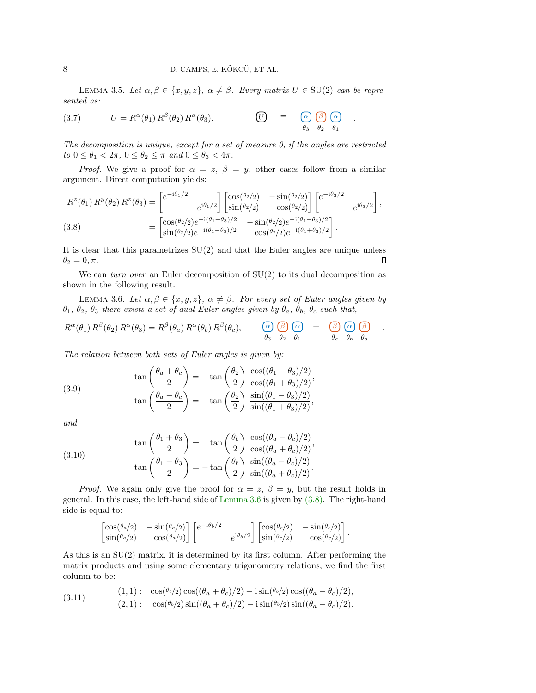LEMMA 3.5. Let  $\alpha, \beta \in \{x, y, z\}, \alpha \neq \beta$ . Every matrix  $U \in \text{SU}(2)$  can be represented as:

(3.7) 
$$
U = R^{\alpha}(\theta_1) R^{\beta}(\theta_2) R^{\alpha}(\theta_3), \qquad -\overline{U} = -\overline{(\alpha)} \overline{\beta} \overline{\alpha} - \overline{\alpha}.
$$

The decomposition is unique, except for a set of measure 0, if the angles are restricted to  $0 \leq \theta_1 < 2\pi$ ,  $0 \leq \theta_2 \leq \pi$  and  $0 \leq \theta_3 < 4\pi$ .

*Proof.* We give a proof for  $\alpha = z$ ,  $\beta = y$ , other cases follow from a similar argument. Direct computation yields:

<span id="page-7-1"></span>
$$
R^{z}(\theta_{1}) R^{y}(\theta_{2}) R^{z}(\theta_{3}) = \begin{bmatrix} e^{-i\theta_{1}/2} & e^{i\theta_{1}/2} \end{bmatrix} \begin{bmatrix} \cos(\theta_{2}/2) & -\sin(\theta_{2}/2) \\ \sin(\theta_{2}/2) & \cos(\theta_{2}/2) \end{bmatrix} \begin{bmatrix} e^{-i\theta_{3}/2} \\ e^{-i\theta_{3}/2} \end{bmatrix},
$$
  
(3.8)  

$$
= \begin{bmatrix} \cos(\theta_{2}/2)e^{-i(\theta_{1}+\theta_{3})/2} & -\sin(\theta_{2}/2)e^{-i(\theta_{1}-\theta_{3})/2} \\ \sin(\theta_{2}/2)e^{-i(\theta_{1}-\theta_{3})/2} & \cos(\theta_{2}/2)e^{-i(\theta_{1}+\theta_{3})/2} \end{bmatrix}.
$$

It is clear that this parametrizes  $SU(2)$  and that the Euler angles are unique unless  $\theta_2 = 0, \pi.$  $\Box$ 

We can *turn over* an Euler decomposition of  $SU(2)$  to its dual decomposition as shown in the following result.

<span id="page-7-0"></span>LEMMA 3.6. Let  $\alpha, \beta \in \{x, y, z\}, \alpha \neq \beta$ . For every set of Euler angles given by  $\theta_1$ ,  $\theta_2$ ,  $\theta_3$  there exists a set of dual Euler angles given by  $\theta_a$ ,  $\theta_b$ ,  $\theta_c$  such that,

$$
R^{\alpha}(\theta_1) R^{\beta}(\theta_2) R^{\alpha}(\theta_3) = R^{\beta}(\theta_a) R^{\alpha}(\theta_b) R^{\beta}(\theta_c), \qquad \overbrace{\theta_3 \theta_2 \theta_1}^{\alpha_1} = \overbrace{\theta_1 \theta_3}^{\alpha_2} \overbrace{\theta_4}^{\alpha_3} \overbrace{\theta_5}^{\alpha_4} \overbrace{\theta_6}^{\beta_5} \overbrace{\theta_8}^{\alpha_6}.
$$

The relation between both sets of Euler angles is given by:

<span id="page-7-2"></span>(3.9) 
$$
\tan\left(\frac{\theta_a + \theta_c}{2}\right) = \tan\left(\frac{\theta_2}{2}\right) \frac{\cos((\theta_1 - \theta_3)/2)}{\cos((\theta_1 + \theta_3)/2)},
$$

$$
\tan\left(\frac{\theta_a - \theta_c}{2}\right) = -\tan\left(\frac{\theta_2}{2}\right) \frac{\sin((\theta_1 - \theta_3)/2)}{\sin((\theta_1 + \theta_3)/2)},
$$

and

<span id="page-7-3"></span>(3.10) 
$$
\tan\left(\frac{\theta_1 + \theta_3}{2}\right) = \tan\left(\frac{\theta_b}{2}\right) \frac{\cos((\theta_a - \theta_c)/2)}{\cos((\theta_a + \theta_c)/2)},
$$

$$
\tan\left(\frac{\theta_1 - \theta_3}{2}\right) = -\tan\left(\frac{\theta_b}{2}\right) \frac{\sin((\theta_a - \theta_c)/2)}{\sin((\theta_a + \theta_c)/2)}.
$$

*Proof.* We again only give the proof for  $\alpha = z$ ,  $\beta = y$ , but the result holds in general. In this case, the left-hand side of [Lemma 3.6](#page-7-0) is given by [\(3.8\).](#page-7-1) The right-hand side is equal to:

$$
\begin{bmatrix}\n\cos(\theta_a/2) & -\sin(\theta_a/2) \\
\sin(\theta_a/2) & \cos(\theta_a/2)\n\end{bmatrix}\n\begin{bmatrix}\ne^{-i\theta_b/2} \\
e^{i\theta_b/2}\n\end{bmatrix}\n\begin{bmatrix}\n\cos(\theta_c/2) & -\sin(\theta_c/2) \\
\sin(\theta_c/2) & \cos(\theta_c/2)\n\end{bmatrix}.
$$

As this is an  $SU(2)$  matrix, it is determined by its first column. After performing the matrix products and using some elementary trigonometry relations, we find the first column to be:

<span id="page-7-4"></span>(3.11) 
$$
\cos(\theta_b/2)\cos((\theta_a + \theta_c)/2) - i\sin(\theta_b/2)\cos((\theta_a - \theta_c)/2),
$$
  
(3.11) 
$$
\cos(\theta_b/2)\sin((\theta_a + \theta_c)/2) - i\sin(\theta_b/2)\sin((\theta_a - \theta_c)/2).
$$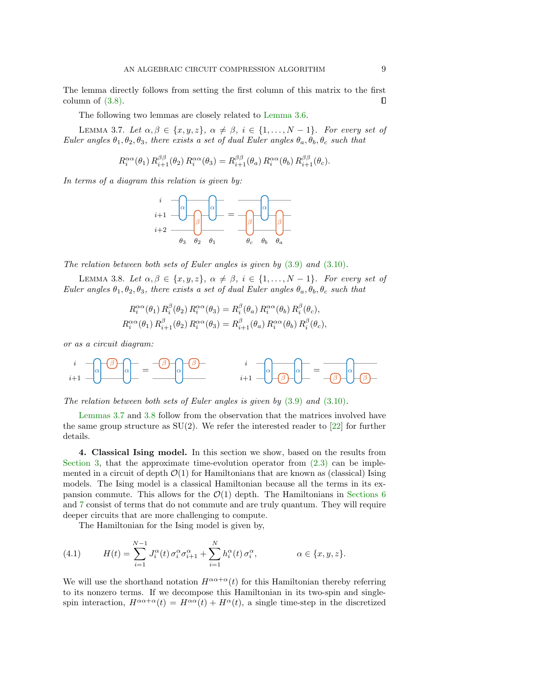The lemma directly follows from setting the first column of this matrix to the first column of  $(3.8)$ .  $\Box$ 

The following two lemmas are closely related to [Lemma 3.6.](#page-7-0)

<span id="page-8-1"></span>LEMMA 3.7. Let  $\alpha, \beta \in \{x, y, z\}, \ \alpha \neq \beta, \ i \in \{1, ..., N-1\}.$  For every set of Euler angles  $\theta_1, \theta_2, \theta_3$ , there exists a set of dual Euler angles  $\theta_a, \theta_b, \theta_c$  such that

$$
R_i^{\alpha\alpha}(\theta_1) R_{i+1}^{\beta\beta}(\theta_2) R_i^{\alpha\alpha}(\theta_3) = R_{i+1}^{\beta\beta}(\theta_a) R_i^{\alpha\alpha}(\theta_b) R_{i+1}^{\beta\beta}(\theta_c).
$$

In terms of a diagram this relation is given by:



The relation between both sets of Euler angles is given by [\(3.9\)](#page-7-2) and [\(3.10\)](#page-7-3).

<span id="page-8-2"></span>LEMMA 3.8. Let  $\alpha, \beta \in \{x, y, z\}, \alpha \neq \beta, i \in \{1, ..., N-1\}$ . For every set of Euler angles  $\theta_1, \theta_2, \theta_3$ , there exists a set of dual Euler angles  $\theta_a, \theta_b, \theta_c$  such that

$$
R_i^{\alpha\alpha}(\theta_1) R_i^{\beta}(\theta_2) R_i^{\alpha\alpha}(\theta_3) = R_i^{\beta}(\theta_a) R_i^{\alpha\alpha}(\theta_b) R_i^{\beta}(\theta_c),
$$
  

$$
R_i^{\alpha\alpha}(\theta_1) R_{i+1}^{\beta}(\theta_2) R_i^{\alpha\alpha}(\theta_3) = R_{i+1}^{\beta}(\theta_a) R_i^{\alpha\alpha}(\theta_b) R_i^{\beta}(\theta_c),
$$

or as a circuit diagram:

$$
\sum_{i+1}^{i} \frac{1}{\sqrt{1-\sum_{i=1}^{i} \left(\sum_{j=1}^{i} \frac{1}{j}\right)}} = \frac{1}{\sqrt{1-\sum_{i=1}^{i} \left(\sum_{j=1}^{i} \frac{1}{j}\right)}} = \frac{1}{\sqrt{1-\sum_{i=1}^{i} \left(\sum_{j=1}^{i} \frac{1}{j}\right)}} = \frac{1}{\sqrt{1-\sum_{i=1}^{i} \left(\sum_{j=1}^{i} \frac{1}{j}\right)}} = \frac{1}{\sqrt{1-\sum_{i=1}^{i} \left(\sum_{j=1}^{i} \frac{1}{j}\right)}} = \frac{1}{\sqrt{1-\sum_{i=1}^{i} \left(\sum_{j=1}^{i} \frac{1}{j}\right)}} = \frac{1}{\sqrt{1-\sum_{i=1}^{i} \left(\sum_{j=1}^{i} \frac{1}{j}\right)}} = \frac{1}{\sqrt{1-\sum_{i=1}^{i} \left(\sum_{j=1}^{i} \frac{1}{j}\right)}} = \frac{1}{\sqrt{1-\sum_{i=1}^{i} \left(\sum_{j=1}^{i} \frac{1}{j}\right)}} = \frac{1}{\sqrt{1-\sum_{i=1}^{i} \left(\sum_{j=1}^{i} \frac{1}{j}\right)}} = \frac{1}{\sqrt{1-\sum_{i=1}^{i} \left(\sum_{j=1}^{i} \frac{1}{j}\right)}} = \frac{1}{\sqrt{1-\sum_{i=1}^{i} \left(\sum_{j=1}^{i} \frac{1}{j}\right)}} = \frac{1}{\sqrt{1-\sum_{i=1}^{i} \left(\sum_{j=1}^{i} \frac{1}{j}\right)}} = \frac{1}{\sqrt{1-\sum_{i=1}^{i} \left(\sum_{j=1}^{i} \frac{1}{j}\right)}} = \frac{1}{\sqrt{1-\sum_{i=1}^{i} \left(\sum_{j=1}^{i} \frac{1}{j}\right)}} = \frac{1}{\sqrt{1-\sum_{i=1}^{i} \left(\sum_{j=1}^{i} \frac{1}{j}\right)}} = \frac{1}{\sqrt{1-\sum_{i=1}^{i} \left(\sum_{j=1}^{i} \frac{1}{j}\right)}} = \frac{1}{\sqrt{1-\sum_{i=1}^{i} \left(\sum_{j=1}^{i} \frac{1}{j}\right)}} = \frac{1}{\sqrt{1-\sum_{
$$

The relation between both sets of Euler angles is given by  $(3.9)$  and  $(3.10)$ .

[Lemmas 3.7](#page-8-1) and [3.8](#page-8-2) follow from the observation that the matrices involved have the same group structure as  $SU(2)$ . We refer the interested reader to [\[22\]](#page-23-12) for further details.

<span id="page-8-0"></span>4. Classical Ising model. In this section we show, based on the results from [Section 3,](#page-4-0) that the approximate time-evolution operator from  $(2.3)$  can be implemented in a circuit of depth  $\mathcal{O}(1)$  for Hamiltonians that are known as (classical) Ising models. The Ising model is a classical Hamiltonian because all the terms in its expansion commute. This allows for the  $\mathcal{O}(1)$  depth. The Hamiltonians in [Sections 6](#page-13-0) and [7](#page-15-0) consist of terms that do not commute and are truly quantum. They will require deeper circuits that are more challenging to compute.

The Hamiltonian for the Ising model is given by,

<span id="page-8-3"></span>(4.1) 
$$
H(t) = \sum_{i=1}^{N-1} J_i^{\alpha}(t) \sigma_i^{\alpha} \sigma_{i+1}^{\alpha} + \sum_{i=1}^{N} h_i^{\alpha}(t) \sigma_i^{\alpha}, \qquad \alpha \in \{x, y, z\}.
$$

We will use the shorthand notation  $H^{\alpha\alpha+\alpha}(t)$  for this Hamiltonian thereby referring to its nonzero terms. If we decompose this Hamiltonian in its two-spin and singlespin interaction,  $H^{\alpha\alpha+\alpha}(t) = H^{\alpha\alpha}(t) + H^{\alpha}(t)$ , a single time-step in the discretized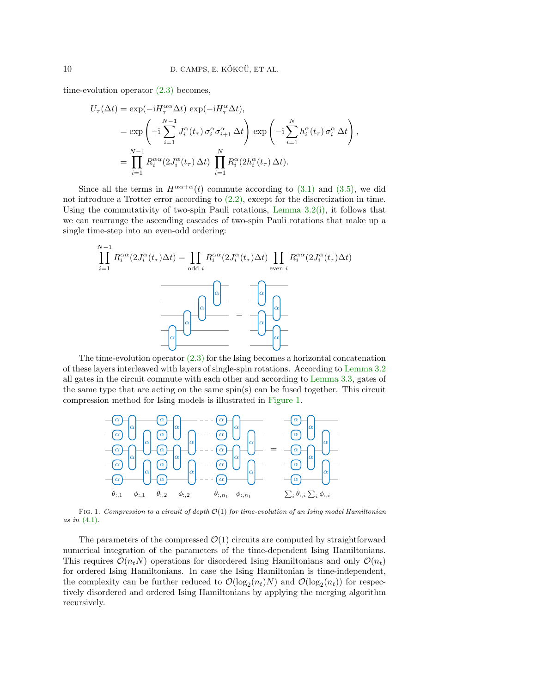time-evolution operator [\(2.3\)](#page-3-0) becomes,

$$
U_{\tau}(\Delta t) = \exp(-iH_{\tau}^{\alpha\alpha}\Delta t) \exp(-iH_{\tau}^{\alpha}\Delta t),
$$
  
\n
$$
= \exp\left(-i\sum_{i=1}^{N-1} J_{i}^{\alpha}(t_{\tau}) \sigma_{i}^{\alpha} \sigma_{i+1}^{\alpha}\Delta t\right) \exp\left(-i\sum_{i=1}^{N} h_{i}^{\alpha}(t_{\tau}) \sigma_{i}^{\alpha}\Delta t\right),
$$
  
\n
$$
= \prod_{i=1}^{N-1} R_{i}^{\alpha\alpha}(2J_{i}^{\alpha}(t_{\tau}) \Delta t) \prod_{i=1}^{N} R_{i}^{\alpha}(2h_{i}^{\alpha}(t_{\tau}) \Delta t).
$$

Since all the terms in  $H^{\alpha\alpha+\alpha}(t)$  commute according to [\(3.1\)](#page-4-3) and [\(3.5\),](#page-5-0) we did not introduce a Trotter error according to [\(2.2\),](#page-3-1) except for the discretization in time. Using the commutativity of two-spin Pauli rotations, Lemma  $3.2(i)$ , it follows that we can rearrange the ascending cascades of two-spin Pauli rotations that make up a single time-step into an even-odd ordering:

$$
\prod_{i=1}^{N-1} R_i^{\alpha\alpha} (2J_i^{\alpha}(t_{\tau}) \Delta t) = \prod_{\text{odd } i} R_i^{\alpha\alpha} (2J_i^{\alpha}(t_{\tau}) \Delta t) \prod_{\text{even } i} R_i^{\alpha\alpha} (2J_i^{\alpha}(t_{\tau}) \Delta t)
$$

$$
= \boxed{\alpha}
$$

The time-evolution operator [\(2.3\)](#page-3-0) for the Ising becomes a horizontal concatenation of these layers interleaved with layers of single-spin rotations. According to [Lemma 3.2](#page-5-1) all gates in the circuit commute with each other and according to [Lemma 3.3,](#page-6-0) gates of the same type that are acting on the same spin(s) can be fused together. This circuit compression method for Ising models is illustrated in [Figure 1.](#page-9-0)

<span id="page-9-0"></span>

FIG. 1. Compression to a circuit of depth  $\mathcal{O}(1)$  for time-evolution of an Ising model Hamiltonian as in [\(4.1\)](#page-8-3).

The parameters of the compressed  $\mathcal{O}(1)$  circuits are computed by straightforward numerical integration of the parameters of the time-dependent Ising Hamiltonians. This requires  $\mathcal{O}(n_tN)$  operations for disordered Ising Hamiltonians and only  $\mathcal{O}(n_t)$ for ordered Ising Hamiltonians. In case the Ising Hamiltonian is time-independent, the complexity can be further reduced to  $\mathcal{O}(\log_2(n_t)N)$  and  $\mathcal{O}(\log_2(n_t))$  for respectively disordered and ordered Ising Hamiltonians by applying the merging algorithm recursively.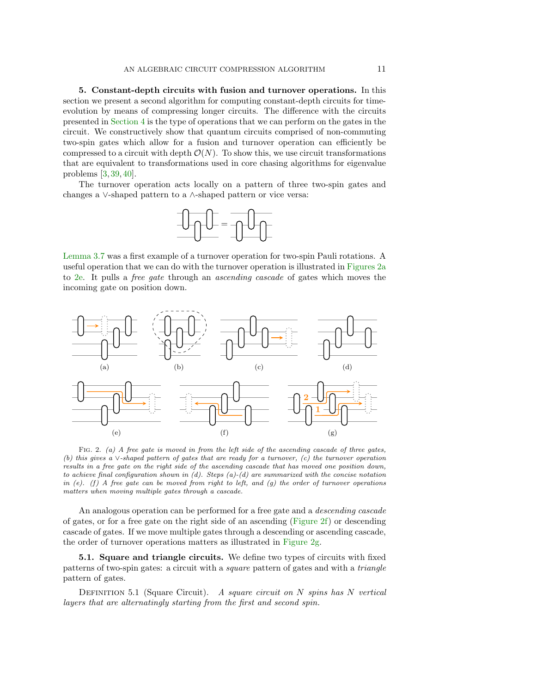<span id="page-10-0"></span>5. Constant-depth circuits with fusion and turnover operations. In this section we present a second algorithm for computing constant-depth circuits for timeevolution by means of compressing longer circuits. The difference with the circuits presented in [Section 4](#page-8-0) is the type of operations that we can perform on the gates in the circuit. We constructively show that quantum circuits comprised of non-commuting two-spin gates which allow for a fusion and turnover operation can efficiently be compressed to a circuit with depth  $\mathcal{O}(N)$ . To show this, we use circuit transformations that are equivalent to transformations used in core chasing algorithms for eigenvalue problems [\[3,](#page-22-11) [39,](#page-24-2) [40\]](#page-24-3).

The turnover operation acts locally on a pattern of three two-spin gates and changes a ∨-shaped pattern to a ∧-shaped pattern or vice versa:



[Lemma 3.7](#page-8-1) was a first example of a turnover operation for two-spin Pauli rotations. A useful operation that we can do with the turnover operation is illustrated in [Figures 2a](#page-10-1) to [2e.](#page-10-2) It pulls a free gate through an ascending cascade of gates which moves the incoming gate on position down.

<span id="page-10-2"></span><span id="page-10-1"></span>

<span id="page-10-4"></span><span id="page-10-3"></span>FIG. 2. (a) A free gate is moved in from the left side of the ascending cascade of three gates, (b) this gives a ∨-shaped pattern of gates that are ready for a turnover, (c) the turnover operation results in a free gate on the right side of the ascending cascade that has moved one position down, to achieve final configuration shown in  $(d)$ . Steps  $(a)-(d)$  are summarized with the concise notation in (e). (f) A free gate can be moved from right to left, and (g) the order of turnover operations matters when moving multiple gates through a cascade.

An analogous operation can be performed for a free gate and a *descending cascade* of gates, or for a free gate on the right side of an ascending (Figure  $2f$ ) or descending cascade of gates. If we move multiple gates through a descending or ascending cascade, the order of turnover operations matters as illustrated in [Figure 2g.](#page-10-4)

<span id="page-10-6"></span>5.1. Square and triangle circuits. We define two types of circuits with fixed patterns of two-spin gates: a circuit with a square pattern of gates and with a triangle pattern of gates.

<span id="page-10-5"></span>DEFINITION 5.1 (Square Circuit). A square circuit on  $N$  spins has  $N$  vertical layers that are alternatingly starting from the first and second spin.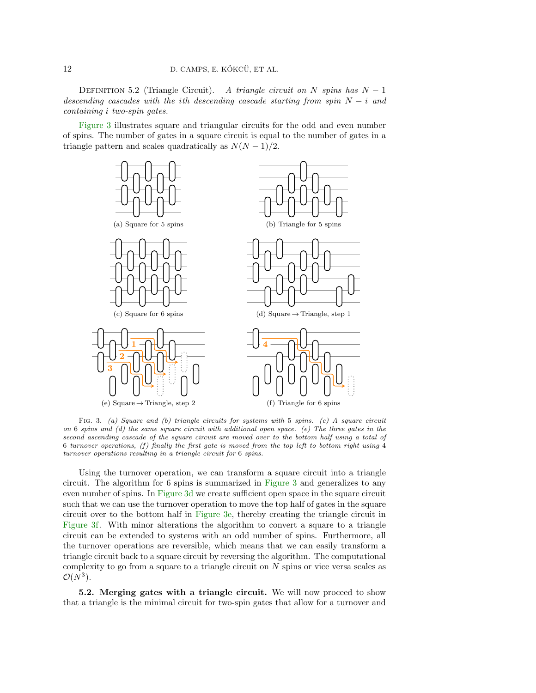DEFINITION 5.2 (Triangle Circuit). A triangle circuit on N spins has  $N-1$ descending cascades with the ith descending cascade starting from spin  $N - i$  and containing i two-spin gates.

[Figure 3](#page-11-0) illustrates square and triangular circuits for the odd and even number of spins. The number of gates in a square circuit is equal to the number of gates in a triangle pattern and scales quadratically as  $N(N-1)/2$ .

<span id="page-11-1"></span>

<span id="page-11-2"></span><span id="page-11-0"></span>FIG. 3. (a) Square and (b) triangle circuits for systems with 5 spins. (c) A square circuit on 6 spins and (d) the same square circuit with additional open space. (e) The three gates in the second ascending cascade of the square circuit are moved over to the bottom half using a total of 6 turnover operations, (f) finally the first gate is moved from the top left to bottom right using 4 turnover operations resulting in a triangle circuit for 6 spins.

Using the turnover operation, we can transform a square circuit into a triangle circuit. The algorithm for 6 spins is summarized in [Figure 3](#page-11-0) and generalizes to any even number of spins. In [Figure 3d](#page-11-1) we create sufficient open space in the square circuit such that we can use the turnover operation to move the top half of gates in the square circuit over to the bottom half in [Figure 3e,](#page-11-2) thereby creating the triangle circuit in [Figure 3f.](#page-11-0) With minor alterations the algorithm to convert a square to a triangle circuit can be extended to systems with an odd number of spins. Furthermore, all the turnover operations are reversible, which means that we can easily transform a triangle circuit back to a square circuit by reversing the algorithm. The computational complexity to go from a square to a triangle circuit on  $N$  spins or vice versa scales as  $\mathcal{O}(N^3)$ .

5.2. Merging gates with a triangle circuit. We will now proceed to show that a triangle is the minimal circuit for two-spin gates that allow for a turnover and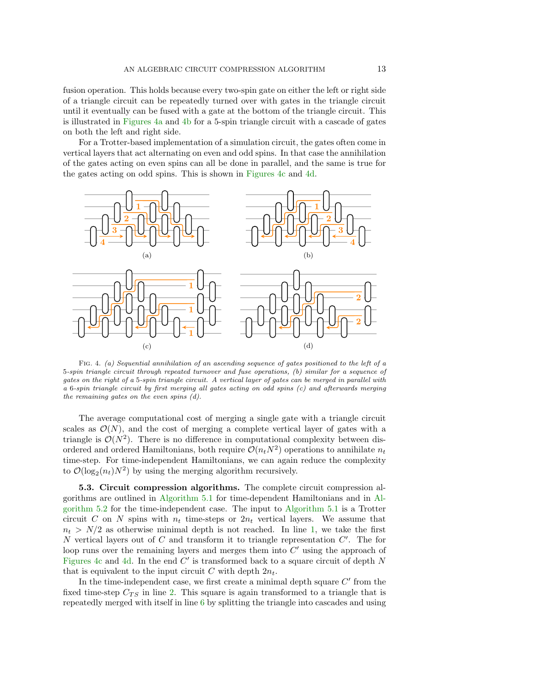fusion operation. This holds because every two-spin gate on either the left or right side of a triangle circuit can be repeatedly turned over with gates in the triangle circuit until it eventually can be fused with a gate at the bottom of the triangle circuit. This is illustrated in [Figures 4a](#page-12-0) and [4b](#page-12-1) for a 5-spin triangle circuit with a cascade of gates on both the left and right side.

For a Trotter-based implementation of a simulation circuit, the gates often come in vertical layers that act alternating on even and odd spins. In that case the annihilation of the gates acting on even spins can all be done in parallel, and the same is true for the gates acting on odd spins. This is shown in [Figures 4c](#page-12-2) and [4d.](#page-12-3)

<span id="page-12-3"></span><span id="page-12-2"></span><span id="page-12-1"></span><span id="page-12-0"></span>

Fig. 4. (a) Sequential annihilation of an ascending sequence of gates positioned to the left of a 5-spin triangle circuit through repeated turnover and fuse operations, (b) similar for a sequence of gates on the right of a 5-spin triangle circuit. A vertical layer of gates can be merged in parallel with a 6-spin triangle circuit by first merging all gates acting on odd spins (c) and afterwards merging the remaining gates on the even spins (d).

The average computational cost of merging a single gate with a triangle circuit scales as  $\mathcal{O}(N)$ , and the cost of merging a complete vertical layer of gates with a triangle is  $\mathcal{O}(N^2)$ . There is no difference in computational complexity between disordered and ordered Hamiltonians, both require  $\mathcal{O}(n_tN^2)$  operations to annihilate  $n_t$ time-step. For time-independent Hamiltonians, we can again reduce the complexity to  $\mathcal{O}(\log_2(n_t)N^2)$  by using the merging algorithm recursively.

5.3. Circuit compression algorithms. The complete circuit compression algorithms are outlined in [Algorithm 5.1](#page-13-1) for time-dependent Hamiltonians and in [Al](#page-13-2)[gorithm 5.2](#page-13-2) for the time-independent case. The input to [Algorithm 5.1](#page-13-1) is a Trotter circuit C on N spins with  $n_t$  time-steps or  $2n_t$  vertical layers. We assume that  $n_t > N/2$  as otherwise minimal depth is not reached. In line [1,](#page-13-3) we take the first  $N$  vertical layers out of  $C$  and transform it to triangle representation  $C'$ . The for loop runs over the remaining layers and merges them into  $C'$  using the approach of [Figures 4c](#page-12-2) and [4d.](#page-12-3) In the end  $C'$  is transformed back to a square circuit of depth  $N$ that is equivalent to the input circuit C with depth  $2n_t$ .

In the time-independent case, we first create a minimal depth square  $C'$  from the fixed time-step  $C_{TS}$  in line [2.](#page-13-4) This square is again transformed to a triangle that is repeatedly merged with itself in line [6](#page-13-5) by splitting the triangle into cascades and using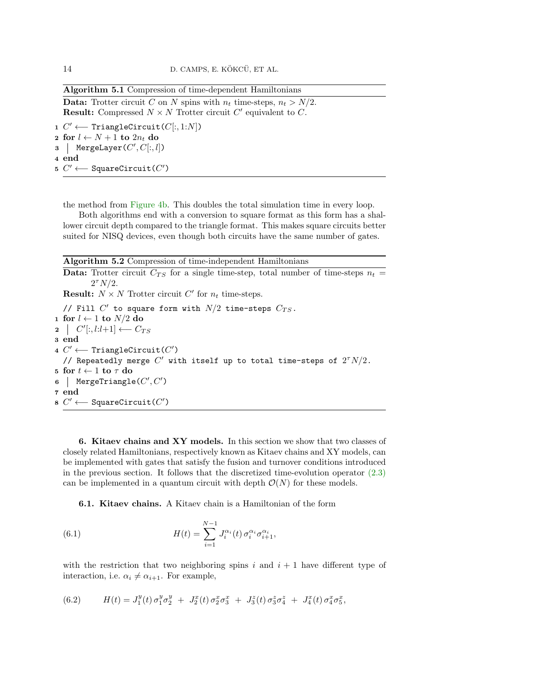Algorithm 5.1 Compression of time-dependent Hamiltonians

**Data:** Trotter circuit C on N spins with  $n_t$  time-steps,  $n_t > N/2$ . **Result:** Compressed  $N \times N$  Trotter circuit  $C'$  equivalent to C.

<span id="page-13-3"></span>1  $C'$  ← TriangleCircuit( $C[:, 1:N]$ ) 2 for  $l \leftarrow N + 1$  to  $2n_t$  do 3 | MergeLayer $(C', C[:, l])$ 4 end 5  $C'$  ← SquareCircuit( $C'$ )

<span id="page-13-1"></span>the method from [Figure 4b.](#page-12-1) This doubles the total simulation time in every loop.

Both algorithms end with a conversion to square format as this form has a shallower circuit depth compared to the triangle format. This makes square circuits better suited for NISQ devices, even though both circuits have the same number of gates.

Algorithm 5.2 Compression of time-independent Hamiltonians

<span id="page-13-4"></span>**Data:** Trotter circuit  $C_{TS}$  for a single time-step, total number of time-steps  $n_t =$  $2^{\tau} N/2$ . **Result:**  $N \times N$  Trotter circuit C' for  $n_t$  time-steps. // Fill  $C'$  to square form with  $N/2$  time-steps  $C_{TS}$ . 1 for  $l \leftarrow 1$  to  $N/2$  do  $2 \mid C'[:, l: l+1] \longleftarrow C_{TS}$ 3 end 4  $C'$  ← TriangleCircuit( $C'$ ) // Repeatedly merge  $C'$  with itself up to total time-steps of  $2^{\tau}N/2$ . 5 for  $t \leftarrow 1$  to  $\tau$  do 6 | MergeTriangle $(C', C')$ 7 end 8  $C'$  ← SquareCircuit( $C'$ )

<span id="page-13-5"></span><span id="page-13-2"></span><span id="page-13-0"></span>6. Kitaev chains and XY models. In this section we show that two classes of closely related Hamiltonians, respectively known as Kitaev chains and XY models, can be implemented with gates that satisfy the fusion and turnover conditions introduced in the previous section. It follows that the discretized time-evolution operator  $(2.3)$ can be implemented in a quantum circuit with depth  $\mathcal{O}(N)$  for these models.

<span id="page-13-7"></span>6.1. Kitaev chains. A Kitaev chain is a Hamiltonian of the form

(6.1) 
$$
H(t) = \sum_{i=1}^{N-1} J_i^{\alpha_i}(t) \sigma_i^{\alpha_i} \sigma_{i+1}^{\alpha_i},
$$

with the restriction that two neighboring spins i and  $i + 1$  have different type of interaction, i.e.  $\alpha_i \neq \alpha_{i+1}$ . For example,

<span id="page-13-6"></span>(6.2) 
$$
H(t) = J_1^y(t) \sigma_1^y \sigma_2^y + J_2^x(t) \sigma_2^x \sigma_3^x + J_3^z(t) \sigma_3^z \sigma_4^z + J_4^x(t) \sigma_4^x \sigma_5^x,
$$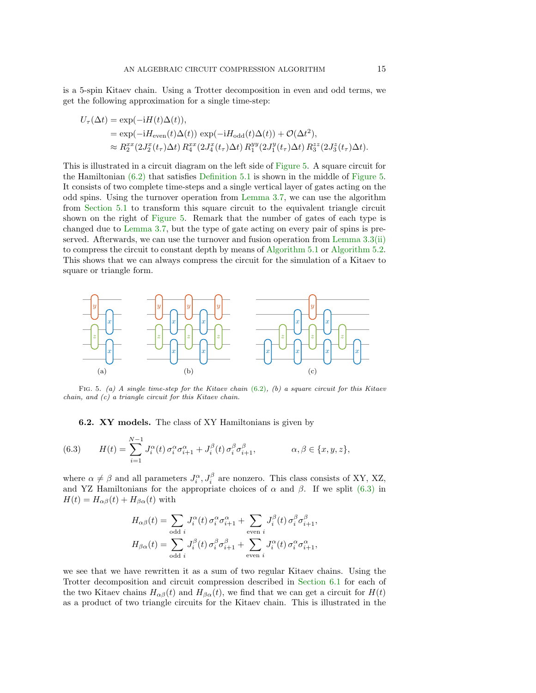is a 5-spin Kitaev chain. Using a Trotter decomposition in even and odd terms, we get the following approximation for a single time-step:

$$
U_{\tau}(\Delta t) = \exp(-iH(t)\Delta(t)),
$$
  
\n
$$
= \exp(-iH_{\text{even}}(t)\Delta(t)) \exp(-iH_{\text{odd}}(t)\Delta(t)) + \mathcal{O}(\Delta t^2),
$$
  
\n
$$
\approx R_2^{xx}(2J_2^x(t_{\tau})\Delta t) R_4^{xx}(2J_4^x(t_{\tau})\Delta t) R_1^{yy}(2J_1^y(t_{\tau})\Delta t) R_3^{zz}(2J_3^z(t_{\tau})\Delta t).
$$

This is illustrated in a circuit diagram on the left side of [Figure 5.](#page-14-0) A square circuit for the Hamiltonian [\(6.2\)](#page-13-6) that satisfies [Definition 5.1](#page-10-5) is shown in the middle of [Figure 5.](#page-14-0) It consists of two complete time-steps and a single vertical layer of gates acting on the odd spins. Using the turnover operation from [Lemma 3.7,](#page-8-1) we can use the algorithm from [Section 5.1](#page-10-6) to transform this square circuit to the equivalent triangle circuit shown on the right of [Figure 5.](#page-14-0) Remark that the number of gates of each type is changed due to [Lemma 3.7,](#page-8-1) but the type of gate acting on every pair of spins is pre-served. Afterwards, we can use the turnover and fusion operation from [Lemma 3.3](#page-6-0)[\(ii\)](#page-6-1) to compress the circuit to constant depth by means of [Algorithm 5.1](#page-13-1) or [Algorithm 5.2.](#page-13-2) This shows that we can always compress the circuit for the simulation of a Kitaev to square or triangle form.



FIG. 5. (a) A single time-step for the Kitaev chain  $(6.2)$ ,  $(b)$  a square circuit for this Kitaev chain, and (c) a triangle circuit for this Kitaev chain.

<span id="page-14-0"></span>6.2. XY models. The class of XY Hamiltonians is given by

<span id="page-14-1"></span>(6.3) 
$$
H(t) = \sum_{i=1}^{N-1} J_i^{\alpha}(t) \sigma_i^{\alpha} \sigma_{i+1}^{\alpha} + J_i^{\beta}(t) \sigma_i^{\beta} \sigma_{i+1}^{\beta}, \qquad \alpha, \beta \in \{x, y, z\},
$$

where  $\alpha \neq \beta$  and all parameters  $J_i^{\alpha}, J_i^{\beta}$  are nonzero. This class consists of XY, XZ, and YZ Hamiltonians for the appropriate choices of  $\alpha$  and  $\beta$ . If we split [\(6.3\)](#page-14-1) in  $H(t) = H_{\alpha\beta}(t) + H_{\beta\alpha}(t)$  with

$$
H_{\alpha\beta}(t) = \sum_{\text{odd }i} J_i^{\alpha}(t) \sigma_i^{\alpha} \sigma_{i+1}^{\alpha} + \sum_{\text{even }i} J_i^{\beta}(t) \sigma_i^{\beta} \sigma_{i+1}^{\beta},
$$
  

$$
H_{\beta\alpha}(t) = \sum_{\text{odd }i} J_i^{\beta}(t) \sigma_i^{\beta} \sigma_{i+1}^{\beta} + \sum_{\text{even }i} J_i^{\alpha}(t) \sigma_i^{\alpha} \sigma_{i+1}^{\alpha},
$$

we see that we have rewritten it as a sum of two regular Kitaev chains. Using the Trotter decomposition and circuit compression described in [Section 6.1](#page-13-7) for each of the two Kitaev chains  $H_{\alpha\beta}(t)$  and  $H_{\beta\alpha}(t)$ , we find that we can get a circuit for  $H(t)$ as a product of two triangle circuits for the Kitaev chain. This is illustrated in the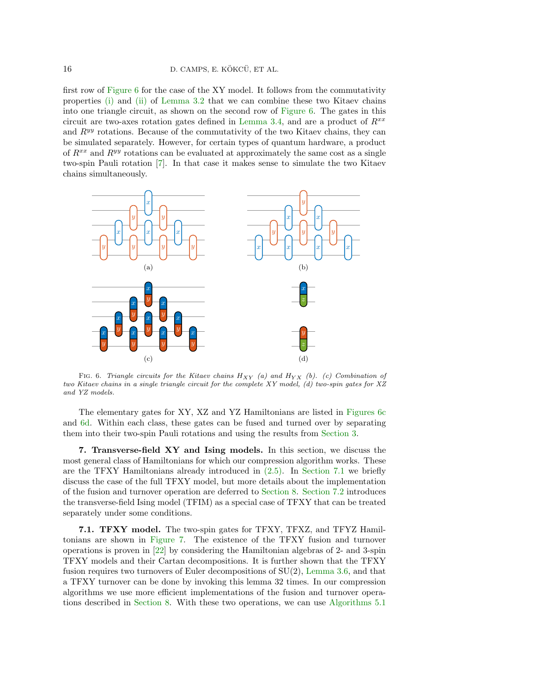first row of [Figure 6](#page-15-1) for the case of the XY model. It follows from the commutativity properties [\(i\)](#page-5-2) and [\(ii\)](#page-5-3) of [Lemma 3.2](#page-5-1) that we can combine these two Kitaev chains into one triangle circuit, as shown on the second row of [Figure 6.](#page-15-1) The gates in this circuit are two-axes rotation gates defined in [Lemma 3.4,](#page-6-2) and are a product of  $R^{xx}$ and  $R^{yy}$  rotations. Because of the commutativity of the two Kitaev chains, they can be simulated separately. However, for certain types of quantum hardware, a product of  $R^{xx}$  and  $R^{yy}$  rotations can be evaluated at approximately the same cost as a single two-spin Pauli rotation [\[7\]](#page-22-10). In that case it makes sense to simulate the two Kitaev chains simultaneously.

<span id="page-15-1"></span>

<span id="page-15-2"></span>FIG. 6. Triangle circuits for the Kitaev chains  $H_{XY}$  (a) and  $H_{YX}$  (b). (c) Combination of two Kitaev chains in a single triangle circuit for the complete XY model, (d) two-spin gates for XZ and YZ models.

The elementary gates for XY, XZ and YZ Hamiltonians are listed in [Figures 6c](#page-15-2) and [6d.](#page-15-1) Within each class, these gates can be fused and turned over by separating them into their two-spin Pauli rotations and using the results from [Section 3.](#page-4-0)

<span id="page-15-0"></span>7. Transverse-field XY and Ising models. In this section, we discuss the most general class of Hamiltonians for which our compression algorithm works. These are the TFXY Hamiltonians already introduced in [\(2.5\).](#page-4-1) In [Section 7.1](#page-15-3) we briefly discuss the case of the full TFXY model, but more details about the implementation of the fusion and turnover operation are deferred to [Section 8.](#page-16-0) [Section 7.2](#page-16-1) introduces the transverse-field Ising model (TFIM) as a special case of TFXY that can be treated separately under some conditions.

<span id="page-15-3"></span>7.1. TFXY model. The two-spin gates for TFXY, TFXZ, and TFYZ Hamiltonians are shown in [Figure 7.](#page-16-2) The existence of the TFXY fusion and turnover operations is proven in [\[22\]](#page-23-12) by considering the Hamiltonian algebras of 2- and 3-spin TFXY models and their Cartan decompositions. It is further shown that the TFXY fusion requires two turnovers of Euler decompositions of SU(2), [Lemma 3.6,](#page-7-0) and that a TFXY turnover can be done by invoking this lemma 32 times. In our compression algorithms we use more efficient implementations of the fusion and turnover operations described in [Section 8.](#page-16-0) With these two operations, we can use [Algorithms 5.1](#page-13-1)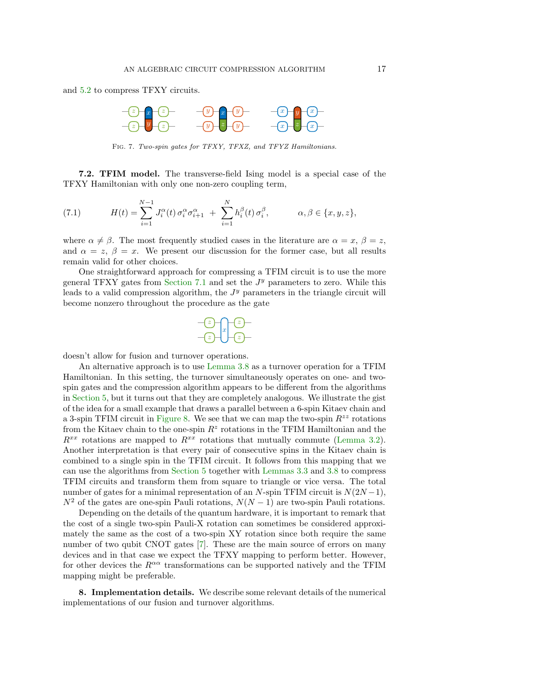<span id="page-16-2"></span>and [5.2](#page-13-2) to compress TFXY circuits.



FIG. 7. Two-spin gates for TFXY, TFXZ, and TFYZ Hamiltonians.

<span id="page-16-1"></span>7.2. TFIM model. The transverse-field Ising model is a special case of the TFXY Hamiltonian with only one non-zero coupling term,

(7.1) 
$$
H(t) = \sum_{i=1}^{N-1} J_i^{\alpha}(t) \sigma_i^{\alpha} \sigma_{i+1}^{\alpha} + \sum_{i=1}^{N} h_i^{\beta}(t) \sigma_i^{\beta}, \qquad \alpha, \beta \in \{x, y, z\},
$$

where  $\alpha \neq \beta$ . The most frequently studied cases in the literature are  $\alpha = x, \beta = z$ , and  $\alpha = z$ ,  $\beta = x$ . We present our discussion for the former case, but all results remain valid for other choices.

One straightforward approach for compressing a TFIM circuit is to use the more general TFXY gates from [Section 7.1](#page-15-3) and set the  $J<sup>y</sup>$  parameters to zero. While this leads to a valid compression algorithm, the  $J<sup>y</sup>$  parameters in the triangle circuit will become nonzero throughout the procedure as the gate



doesn't allow for fusion and turnover operations.

An alternative approach is to use [Lemma 3.8](#page-8-2) as a turnover operation for a TFIM Hamiltonian. In this setting, the turnover simultaneously operates on one- and twospin gates and the compression algorithm appears to be different from the algorithms in [Section 5,](#page-10-0) but it turns out that they are completely analogous. We illustrate the gist of the idea for a small example that draws a parallel between a 6-spin Kitaev chain and a 3-spin TFIM circuit in [Figure 8.](#page-17-0) We see that we can map the two-spin  $R^{zz}$  rotations from the Kitaev chain to the one-spin  $R^z$  rotations in the TFIM Hamiltonian and the  $R^{xx}$  rotations are mapped to  $R^{xx}$  rotations that mutually commute [\(Lemma 3.2\)](#page-5-1). Another interpretation is that every pair of consecutive spins in the Kitaev chain is combined to a single spin in the TFIM circuit. It follows from this mapping that we can use the algorithms from [Section 5](#page-10-0) together with [Lemmas 3.3](#page-6-0) and [3.8](#page-8-2) to compress TFIM circuits and transform them from square to triangle or vice versa. The total number of gates for a minimal representation of an N-spin TFIM circuit is  $N(2N-1)$ ,  $N^2$  of the gates are one-spin Pauli rotations,  $N(N-1)$  are two-spin Pauli rotations.

Depending on the details of the quantum hardware, it is important to remark that the cost of a single two-spin Pauli-X rotation can sometimes be considered approximately the same as the cost of a two-spin XY rotation since both require the same number of two qubit CNOT gates [\[7\]](#page-22-10). These are the main source of errors on many devices and in that case we expect the TFXY mapping to perform better. However, for other devices the  $R^{\alpha\alpha}$  transformations can be supported natively and the TFIM mapping might be preferable.

<span id="page-16-0"></span>8. Implementation details. We describe some relevant details of the numerical implementations of our fusion and turnover algorithms.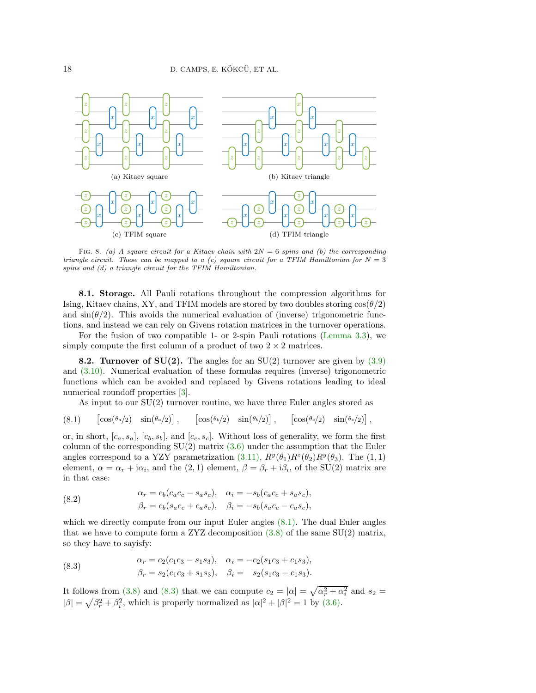

<span id="page-17-0"></span>FIG. 8. (a) A square circuit for a Kitaev chain with  $2N = 6$  spins and (b) the corresponding triangle circuit. These can be mapped to a (c) square circuit for a TFIM Hamiltonian for  $N = 3$ spins and (d) a triangle circuit for the TFIM Hamiltonian.

8.1. Storage. All Pauli rotations throughout the compression algorithms for Ising, Kitaev chains, XY, and TFIM models are stored by two doubles storing  $\cos(\theta/2)$ and  $\sin(\theta/2)$ . This avoids the numerical evaluation of (inverse) trigonometric functions, and instead we can rely on Givens rotation matrices in the turnover operations.

For the fusion of two compatible 1- or 2-spin Pauli rotations [\(Lemma 3.3\)](#page-6-0), we simply compute the first column of a product of two  $2 \times 2$  matrices.

**8.2. Turnover of SU(2).** The angles for an SU(2) turnover are given by  $(3.9)$ and [\(3.10\).](#page-7-3) Numerical evaluation of these formulas requires (inverse) trigonometric functions which can be avoided and replaced by Givens rotations leading to ideal numerical roundoff properties [\[3\]](#page-22-11).

As input to our SU(2) turnover routine, we have three Euler angles stored as

<span id="page-17-1"></span>
$$
(8.1) \qquad \left[\cos(\theta_0/2) \quad \sin(\theta_0/2)\right], \qquad \left[\cos(\theta_0/2) \quad \sin(\theta_0/2)\right], \qquad \left[\cos(\theta_0/2) \quad \sin(\theta_0/2)\right],
$$

or, in short,  $[c_a, s_a]$ ,  $[c_b, s_b]$ , and  $[c_c, s_c]$ . Without loss of generality, we form the first column of the corresponding  $SU(2)$  matrix  $(3.6)$  under the assumption that the Euler angles correspond to a YZY parametrization  $(3.11)$ ,  $R^{y}(\theta_1)R^{z}(\theta_2)R^{y}(\theta_3)$ . The  $(1, 1)$ element,  $\alpha = \alpha_r + i\alpha_i$ , and the  $(2, 1)$  element,  $\beta = \beta_r + i\beta_i$ , of the SU(2) matrix are in that case:

(8.2) 
$$
\alpha_r = c_b(c_a c_c - s_a s_c), \quad \alpha_i = -s_b(c_a c_c + s_a s_c), \beta_r = c_b(s_a c_c + c_a s_c), \quad \beta_i = -s_b(s_a c_c - c_a s_c),
$$

which we directly compute from our input Euler angles  $(8.1)$ . The dual Euler angles that we have to compute form a ZYZ decomposition  $(3.8)$  of the same SU(2) matrix, so they have to sayisfy:

<span id="page-17-2"></span>(8.3) 
$$
\alpha_r = c_2(c_1c_3 - s_1s_3), \quad \alpha_i = -c_2(s_1c_3 + c_1s_3), \beta_r = s_2(c_1c_3 + s_1s_3), \quad \beta_i = s_2(s_1c_3 - c_1s_3).
$$

It follows from [\(3.8\)](#page-7-1) and [\(8.3\)](#page-17-2) that we can compute  $c_2 = |\alpha| = \sqrt{\alpha_r^2 + \alpha_i^2}$  and  $s_2 =$  $|\beta| = \sqrt{\beta_r^2 + \beta_i^2}$ , which is properly normalized as  $|\alpha|^2 + |\beta|^2 = 1$  by [\(3.6\).](#page-6-3)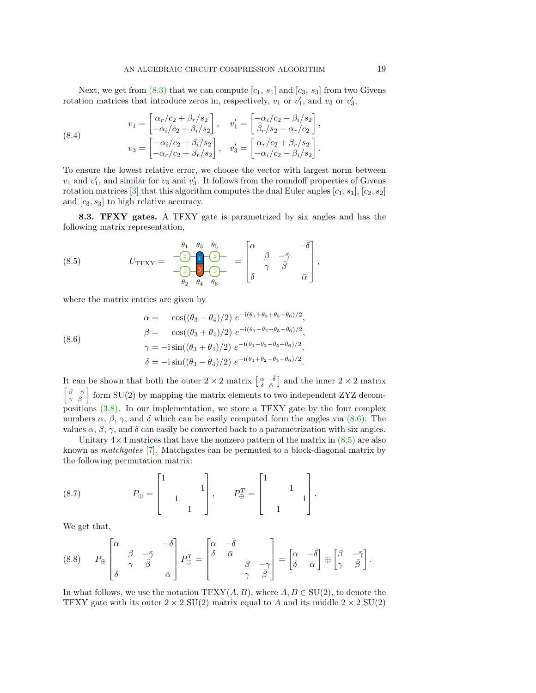Next, we get from  $(8.3)$  that we can compute  $[c_1, s_1]$  and  $[c_3, s_3]$  from two Givens rotation matrices that introduce zeros in, respectively,  $v_1$  or  $v'_1$ , and  $v_3$  or  $v'_3$ ,

(8.4) 
$$
v_1 = \begin{bmatrix} \alpha_r/c_2 + \beta_r/s_2 \\ -\alpha_i/c_2 + \beta_i/s_2 \end{bmatrix}, \quad v'_1 = \begin{bmatrix} -\alpha_i/c_2 - \beta_i/s_2 \\ \beta_r/s_2 - \alpha_r/c_2 \end{bmatrix},
$$

$$
v_3 = \begin{bmatrix} -\alpha_i/c_2 + \beta_i/s_2 \\ -\alpha_r/c_2 + \beta_r/s_2 \end{bmatrix}, \quad v'_3 = \begin{bmatrix} \alpha_r/c_2 + \beta_r/s_2 \\ -\alpha_i/c_2 - \beta_i/s_2 \end{bmatrix}.
$$

To ensure the lowest relative error, we choose the vector with largest norm between  $v_1$  and  $v'_1$ , and similar for  $v_3$  and  $v'_3$ . It follows from the roundoff properties of Givens rotation matrices [\[3\]](#page-22-11) that this algorithm computes the dual Euler angles  $[c_1, s_1], [c_2, s_2]$ and  $[c_3, s_3]$  to high relative accuracy.

8.3. TFXY gates. A TFXY gate is parametrized by six angles and has the following matrix representation,

<span id="page-18-1"></span>(8.5) 
$$
U_{\text{TFXY}} = \frac{\begin{vmatrix} \theta_1 & \theta_3 & \theta_5 \\ \hline z & \overline{z} \end{vmatrix}}{\begin{vmatrix} \theta_2 & \theta_4 & \theta_6 \end{vmatrix}} = \begin{bmatrix} \alpha & & -\overline{\delta} \\ \beta & -\overline{\gamma} & \\ \delta & & \overline{\beta} & \\ \delta & & \overline{\alpha} \end{bmatrix},
$$

where the matrix entries are given by

<span id="page-18-0"></span>(8.6)  
\n
$$
\alpha = \cos((\theta_3 - \theta_4)/2) e^{-i(\theta_1 + \theta_2 + \theta_5 + \theta_6)/2},
$$
\n
$$
\beta = \cos((\theta_3 + \theta_4)/2) e^{-i(\theta_1 - \theta_2 + \theta_5 - \theta_6)/2},
$$
\n
$$
\gamma = -i \sin((\theta_3 + \theta_4)/2) e^{-i(\theta_1 - \theta_2 - \theta_5 + \theta_6)/2},
$$
\n
$$
\delta = -i \sin((\theta_3 - \theta_4)/2) e^{-i(\theta_1 + \theta_2 - \theta_5 - \theta_6)/2}.
$$

It can be shown that both the outer  $2 \times 2$  matrix  $\left[\frac{\alpha}{\delta} - \overline{\delta}\right]$  and the inner  $2 \times 2$  matrix  $\begin{bmatrix} \beta & -\bar{\gamma} \\ \gamma & \bar{\beta} \end{bmatrix}$  form SU(2) by mapping the matrix elements to two independent ZYZ decompositions [\(3.8\).](#page-7-1) In our implementation, we store a TFXY gate by the four complex numbers  $\alpha$ ,  $\beta$ ,  $\gamma$ , and  $\delta$  which can be easily computed form the angles via [\(8.6\).](#page-18-0) The values  $\alpha$ ,  $\beta$ ,  $\gamma$ , and  $\delta$  can easily be converted back to a parametrization with six angles.

Unitary  $4 \times 4$  matrices that have the nonzero pattern of the matrix in  $(8.5)$  are also known as matchgates [\[7\]](#page-22-10). Matchgates can be permuted to a block-diagonal matrix by the following permutation matrix:

(8.7) 
$$
P_{\oplus} = \begin{bmatrix} 1 & & & \\ & 1 & & \\ & & 1 & \\ & & & 1 \end{bmatrix}, \qquad P_{\oplus}^T = \begin{bmatrix} 1 & & & \\ & 1 & & \\ & & 1 & \\ & & 1 & \end{bmatrix}.
$$

We get that,

<span id="page-18-2"></span>
$$
(8.8) \t P_{\oplus} \begin{bmatrix} \alpha & -\bar{\delta} \\ \beta & \gamma & \bar{\beta} \\ \delta & \alpha & \bar{\alpha} \end{bmatrix} P_{\oplus}^T = \begin{bmatrix} \alpha & -\bar{\delta} \\ \delta & \bar{\alpha} \\ \gamma & \beta \end{bmatrix} = \begin{bmatrix} \alpha & -\bar{\delta} \\ \delta & \bar{\alpha} \end{bmatrix} \oplus \begin{bmatrix} \beta & -\bar{\gamma} \\ \gamma & \bar{\beta} \end{bmatrix}.
$$

In what follows, we use the notation  $TFXY(A, B)$ , where  $A, B \in SU(2)$ , to denote the TFXY gate with its outer  $2 \times 2$  SU(2) matrix equal to A and its middle  $2 \times 2$  SU(2)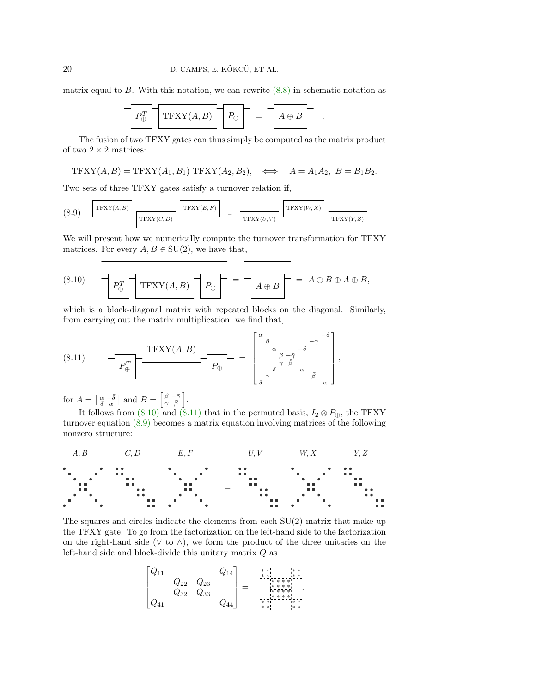matrix equal to  $B$ . With this notation, we can rewrite  $(8.8)$  in schematic notation as

$$
\boxed{P_{\oplus}^T \boxed{\text{TFXY}(A,B)} \boxed{P_{\oplus}} = \boxed{A \oplus B} .}
$$

The fusion of two TFXY gates can thus simply be computed as the matrix product of two  $2 \times 2$  matrices:

$$
\text{TFXY}(A,B)=\text{TFXY}(A_1,B_1)\text{ TFXY}(A_2,B_2), \quad \Longleftrightarrow \quad A=A_1A_2, \ B=B_1B_2.
$$

Two sets of three TFXY gates satisfy a turnover relation if,

<span id="page-19-2"></span>
$$
(8.9) \frac{\boxed{\text{TFXY}(A,B)}{\text{TFXY}(C,D)} \frac{\boxed{\text{TFXY}(E,F)}}{\boxed{\text{TFXY}(U,V)}} = \frac{\boxed{\text{TFXY}(W,X)}{\text{TFXY}(V,Z)} \frac{\boxed{\text{TFXY}(W,X)}}{\text{TFXY}(Y,Z)}
$$

.

We will present how we numerically compute the turnover transformation for TFXY matrices. For every  $A, B \in SU(2)$ , we have that,

<span id="page-19-0"></span>(8.10) 
$$
P_{\oplus}^T \boxed{\text{TFXY}(A, B)} \quad P_{\oplus} = \boxed{A \oplus B} = A \oplus B \oplus A \oplus B,
$$

which is a block-diagonal matrix with repeated blocks on the diagonal. Similarly, from carrying out the matrix multiplication, we find that,

<span id="page-19-1"></span>(8.11) 
$$
\underbrace{\text{TFXY}(A,B)}_{\mathcal{P}_{\oplus}^T} \underbrace{\begin{bmatrix} \text{TFXY}(A,B) \end{bmatrix}}_{\mathcal{P}_{\oplus}^T} = \begin{bmatrix} \alpha_{\beta} & \alpha_{\beta - \bar{\gamma}} & -\bar{\delta} \\ \alpha_{\beta - \bar{\gamma}} & \bar{\delta} \\ \gamma_{\delta} & \bar{\delta} & \bar{\delta} \\ \delta & \bar{\delta} & \bar{\delta} \end{bmatrix},
$$

for  $A = \begin{bmatrix} \alpha & -\bar{\delta} \\ \delta & \bar{\alpha} \end{bmatrix}$  and  $B = \begin{bmatrix} \beta & -\bar{\gamma} \\ \gamma & \bar{\beta} \end{bmatrix}$ .

It follows from [\(8.10\)](#page-19-0) and [\(8.11\)](#page-19-1) that in the permuted basis,  $I_2 \otimes P_{\oplus}$ , the TFXY turnover equation [\(8.9\)](#page-19-2) becomes a matrix equation involving matrices of the following nonzero structure:



The squares and circles indicate the elements from each  $SU(2)$  matrix that make up the TFXY gate. To go from the factorization on the left-hand side to the factorization on the right-hand side ( $\vee$  to  $\wedge$ ), we form the product of the three unitaries on the left-hand side and block-divide this unitary matrix Q as

$$
\begin{bmatrix} Q_{11} & & & Q_{14} \\ & Q_{22} & Q_{23} & \\ & Q_{32} & Q_{33} & \\ Q_{41} & & & Q_{44} \end{bmatrix} = \begin{bmatrix} * & * & * & * & * & * \\ * & * & * & * & * & * \\ * & * & * & * & * \\ * & * & * & * & * \\ * & * & * & * & * \\ * & * & * & * & * \end{bmatrix}
$$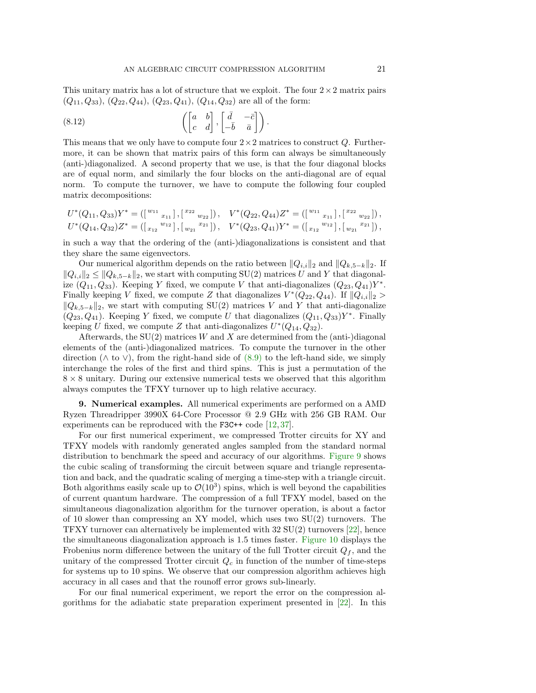This unitary matrix has a lot of structure that we exploit. The four  $2 \times 2$  matrix pairs  $(Q_{11}, Q_{33}), (Q_{22}, Q_{44}), (Q_{23}, Q_{41}), (Q_{14}, Q_{32})$  are all of the form:

(8.12) 
$$
\left( \begin{bmatrix} a & b \\ c & d \end{bmatrix}, \begin{bmatrix} \bar{d} & -\bar{c} \\ -\bar{b} & \bar{a} \end{bmatrix} \right).
$$

This means that we only have to compute four  $2\times 2$  matrices to construct Q. Furthermore, it can be shown that matrix pairs of this form can always be simultaneously (anti-)diagonalized. A second property that we use, is that the four diagonal blocks are of equal norm, and similarly the four blocks on the anti-diagonal are of equal norm. To compute the turnover, we have to compute the following four coupled matrix decompositions:

$$
U^*(Q_{11}, Q_{33})Y^* = ([^{w_{11}}_{x_{11}}], [^{x_{22}}_{w_{22}}]), \quad V^*(Q_{22}, Q_{44})Z^* = ([^{w_{11}}_{x_{11}}], [^{x_{22}}_{w_{22}}]),
$$
  

$$
U^*(Q_{14}, Q_{32})Z^* = ([^{w_{12}}_{x_{12}}], [^{w_{21}}_{w_{21}}]), \quad V^*(Q_{23}, Q_{41})Y^* = ([^{w_{11}}_{x_{12}}], [^{w_{21}}_{w_{21}}]),
$$

in such a way that the ordering of the (anti-)diagonalizations is consistent and that they share the same eigenvectors.

Our numerical algorithm depends on the ratio between  $||Q_{i,i}||_2$  and  $||Q_{k,5-k}||_2$ . If  $||Q_{i,i}||_2 \leq ||Q_{k,5-k}||_2$ , we start with computing SU(2) matrices U and Y that diagonalize  $(Q_{11}, Q_{33})$ . Keeping Y fixed, we compute V that anti-diagonalizes  $(Q_{23}, Q_{41})Y^*$ . Finally keeping V fixed, we compute Z that diagonalizes  $V^*(Q_{22}, Q_{44})$ . If  $||Q_{i,i}||_2 >$  $||Q_{k,5-k}||_2$ , we start with computing SU(2) matrices V and Y that anti-diagonalize  $(Q_{23}, Q_{41})$ . Keeping Y fixed, we compute U that diagonalizes  $(Q_{11}, Q_{33})Y^*$ . Finally keeping U fixed, we compute Z that anti-diagonalizes  $U^*(Q_{14}, Q_{32})$ .

Afterwards, the  $SU(2)$  matrices W and X are determined from the (anti-)diagonal elements of the (anti-)diagonalized matrices. To compute the turnover in the other direction ( $\wedge$  to  $\vee$ ), from the right-hand side of [\(8.9\)](#page-19-2) to the left-hand side, we simply interchange the roles of the first and third spins. This is just a permutation of the  $8 \times 8$  unitary. During our extensive numerical tests we observed that this algorithm always computes the TFXY turnover up to high relative accuracy.

<span id="page-20-0"></span>9. Numerical examples. All numerical experiments are performed on a AMD Ryzen Threadripper 3990X 64-Core Processor @ 2.9 GHz with 256 GB RAM. Our experiments can be reproduced with the F3C++ code [\[12,](#page-22-6) [37\]](#page-23-7).

For our first numerical experiment, we compressed Trotter circuits for XY and TFXY models with randomly generated angles sampled from the standard normal distribution to benchmark the speed and accuracy of our algorithms. [Figure 9](#page-21-1) shows the cubic scaling of transforming the circuit between square and triangle representation and back, and the quadratic scaling of merging a time-step with a triangle circuit. Both algorithms easily scale up to  $\mathcal{O}(10^3)$  spins, which is well beyond the capabilities of current quantum hardware. The compression of a full TFXY model, based on the simultaneous diagonalization algorithm for the turnover operation, is about a factor of 10 slower than compressing an XY model, which uses two  $SU(2)$  turnovers. The TFXY turnover can alternatively be implemented with  $32 \text{ SU}(2)$  turnovers  $[22]$ , hence the simultaneous diagonalization approach is 1.5 times faster. [Figure 10](#page-21-2) displays the Frobenius norm difference between the unitary of the full Trotter circuit  $Q_f$ , and the unitary of the compressed Trotter circuit  $Q_c$  in function of the number of time-steps for systems up to 10 spins. We observe that our compression algorithm achieves high accuracy in all cases and that the rounoff error grows sub-linearly.

For our final numerical experiment, we report the error on the compression algorithms for the adiabatic state preparation experiment presented in [\[22\]](#page-23-12). In this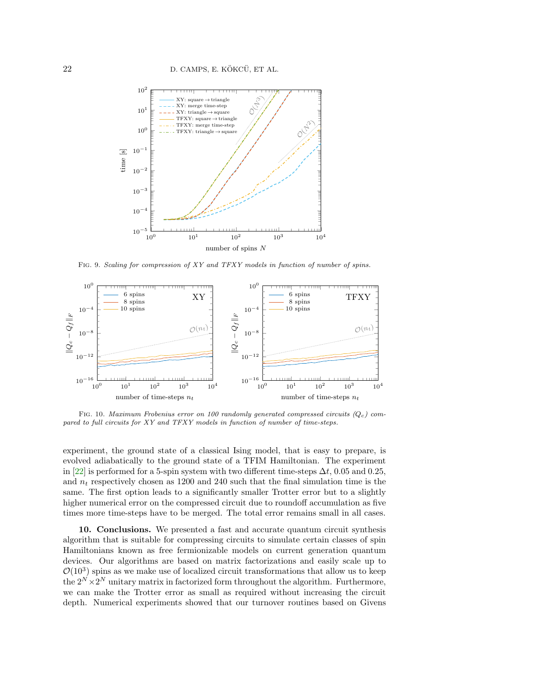<span id="page-21-1"></span>

FIG. 9. Scaling for compression of XY and TFXY models in function of number of spins.

<span id="page-21-2"></span>

FIG. 10. Maximum Frobenius error on 100 randomly generated compressed circuits  $(Q_c)$  compared to full circuits for XY and TFXY models in function of number of time-steps.

experiment, the ground state of a classical Ising model, that is easy to prepare, is evolved adiabatically to the ground state of a TFIM Hamiltonian. The experiment in [\[22\]](#page-23-12) is performed for a 5-spin system with two different time-steps  $\Delta t$ , 0.05 and 0.25, and  $n_t$  respectively chosen as 1200 and 240 such that the final simulation time is the same. The first option leads to a significantly smaller Trotter error but to a slightly higher numerical error on the compressed circuit due to roundoff accumulation as five times more time-steps have to be merged. The total error remains small in all cases.

<span id="page-21-0"></span>10. Conclusions. We presented a fast and accurate quantum circuit synthesis algorithm that is suitable for compressing circuits to simulate certain classes of spin Hamiltonians known as free fermionizable models on current generation quantum devices. Our algorithms are based on matrix factorizations and easily scale up to  $\mathcal{O}(10^3)$  spins as we make use of localized circuit transformations that allow us to keep the  $2^N \times 2^N$  unitary matrix in factorized form throughout the algorithm. Furthermore, we can make the Trotter error as small as required without increasing the circuit depth. Numerical experiments showed that our turnover routines based on Givens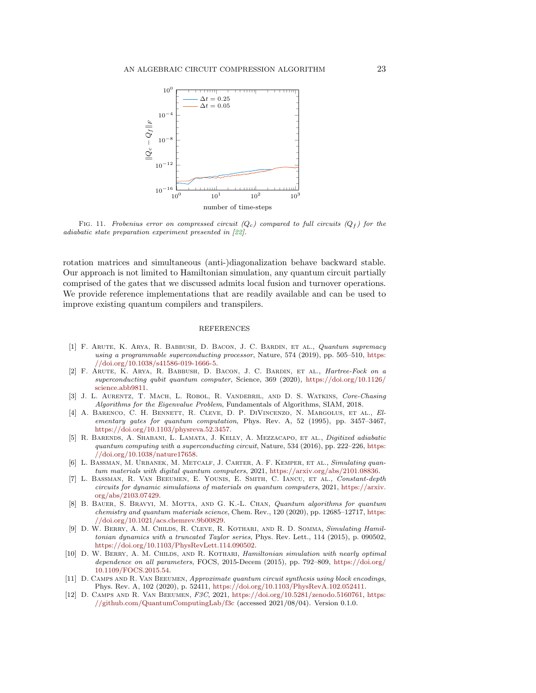

FIG. 11. Frobenius error on compressed circuit ( $Q_c$ ) compared to full circuits ( $Q_f$ ) for the adiabatic state preparation experiment presented in [\[22\]](#page-23-12).

rotation matrices and simultaneous (anti-)diagonalization behave backward stable. Our approach is not limited to Hamiltonian simulation, any quantum circuit partially comprised of the gates that we discussed admits local fusion and turnover operations. We provide reference implementations that are readily available and can be used to improve existing quantum compilers and transpilers.

## REFERENCES

- <span id="page-22-0"></span>[1] F. Arute, K. Arya, R. Babbush, D. Bacon, J. C. Bardin, et al., Quantum supremacy using a programmable superconducting processor, Nature, 574 (2019), pp. 505–510, [https:](https://doi.org/10.1038/s41586-019-1666-5) [//doi.org/10.1038/s41586-019-1666-5.](https://doi.org/10.1038/s41586-019-1666-5)
- <span id="page-22-7"></span>[2] F. Arute, K. Arya, R. Babbush, D. Bacon, J. C. Bardin, et al., Hartree-Fock on a superconducting qubit quantum computer, Science, 369 (2020), [https://doi.org/10.1126/](https://doi.org/10.1126/science.abb9811) [science.abb9811.](https://doi.org/10.1126/science.abb9811)
- <span id="page-22-11"></span>[3] J. L. Aurentz, T. Mach, L. Robol, R. Vandebril, and D. S. Watkins, Core-Chasing Algorithms for the Eigenvalue Problem, Fundamentals of Algorithms, SIAM, 2018.
- <span id="page-22-1"></span>[4] A. Barenco, C. H. Bennett, R. Cleve, D. P. DiVincenzo, N. Margolus, et al., Elementary gates for quantum computation, Phys. Rev. A, 52 (1995), pp. 3457–3467, [https://doi.org/10.1103/physreva.52.3457.](https://doi.org/10.1103/physreva.52.3457)
- <span id="page-22-5"></span>[5] R. Barends, A. Shabani, L. Lamata, J. Kelly, A. Mezzacapo, et al., Digitized adiabatic quantum computing with a superconducting circuit, Nature,  $534$  (2016), pp. 222–226, [https:](https://doi.org/10.1038/nature17658) [//doi.org/10.1038/nature17658.](https://doi.org/10.1038/nature17658)
- <span id="page-22-3"></span>[6] L. Bassman, M. Urbanek, M. Metcalf, J. Carter, A. F. Kemper, et al., Simulating quantum materials with digital quantum computers, 2021, [https://arxiv.org/abs/2101.08836.](https://arxiv.org/abs/2101.08836)
- <span id="page-22-10"></span>[7] L. Bassman, R. Van Beeumen, E. Younis, E. Smith, C. Iancu, et al., Constant-depth circuits for dynamic simulations of materials on quantum computers, 2021, [https://arxiv.](https://arxiv.org/abs/2103.07429) [org/abs/2103.07429.](https://arxiv.org/abs/2103.07429)
- <span id="page-22-4"></span>[8] B. Bauer, S. Bravyi, M. Motta, and G. K.-L. Chan, Quantum algorithms for quantum chemistry and quantum materials science, Chem. Rev., 120 (2020), pp. 12685–12717, [https:](https://doi.org/10.1021/acs.chemrev.9b00829) [//doi.org/10.1021/acs.chemrev.9b00829.](https://doi.org/10.1021/acs.chemrev.9b00829)
- <span id="page-22-8"></span>[9] D. W. Berry, A. M. Childs, R. Cleve, R. Kothari, and R. D. Somma, Simulating Hamiltonian dynamics with a truncated Taylor series, Phys. Rev. Lett., 114 (2015), p. 090502, [https://doi.org/10.1103/PhysRevLett.114.090502.](https://doi.org/10.1103/PhysRevLett.114.090502)
- <span id="page-22-9"></span>[10] D. W. Berry, A. M. Childs, and R. Kothari, Hamiltonian simulation with nearly optimal dependence on all parameters, FOCS, 2015-Decem (2015), pp. 792–809, [https://doi.org/](https://doi.org/10.1109/FOCS.2015.54) [10.1109/FOCS.2015.54.](https://doi.org/10.1109/FOCS.2015.54)
- <span id="page-22-2"></span>[11] D. CAMPS AND R. VAN BEEUMEN, Approximate quantum circuit synthesis using block encodings, Phys. Rev. A, 102 (2020), p. 52411, [https://doi.org/10.1103/PhysRevA.102.052411.](https://doi.org/10.1103/PhysRevA.102.052411)
- <span id="page-22-6"></span>[12] D. Camps and R. Van Beeumen, F3C, 2021, [https://doi.org/10.5281/zenodo.5160761,](https://doi.org/10.5281/zenodo.5160761) [https:](https://github.com/QuantumComputingLab/f3c) [//github.com/QuantumComputingLab/f3c](https://github.com/QuantumComputingLab/f3c) (accessed 2021/08/04). Version 0.1.0.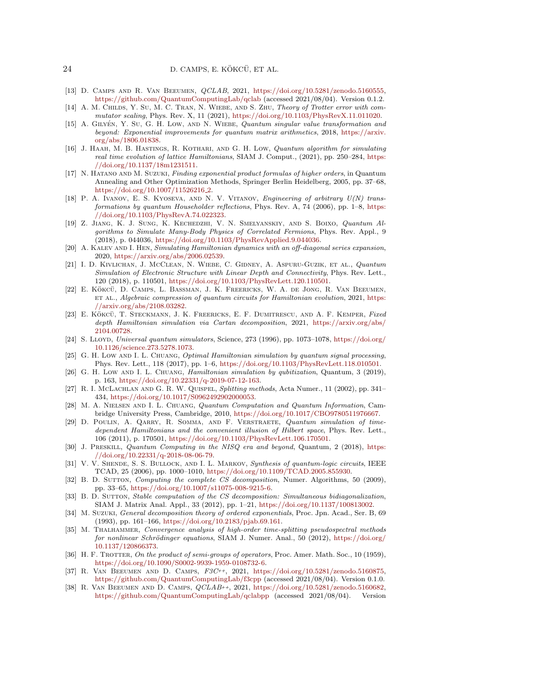## 24 D. CAMPS, E. KÖKCÜ, ET AL.

- <span id="page-23-8"></span>[13] D. Camps and R. Van Beeumen, QCLAB, 2021, [https://doi.org/10.5281/zenodo.5160555,](https://doi.org/10.5281/zenodo.5160555) <https://github.com/QuantumComputingLab/qclab> (accessed 2021/08/04). Version 0.1.2.
- <span id="page-23-20"></span>[14] A. M. CHILDS, Y. SU, M. C. TRAN, N. WIEBE, AND S. ZHU, Theory of Trotter error with commutator scaling, Phys. Rev. X, 11 (2021), [https://doi.org/10.1103/PhysRevX.11.011020.](https://doi.org/10.1103/PhysRevX.11.011020)
- <span id="page-23-13"></span>[15] A. GILYÉN, Y. SU, G. H. LOW, AND N. WIEBE, Quantum singular value transformation and beyond: Exponential improvements for quantum matrix arithmetics, 2018, [https://arxiv.](https://arxiv.org/abs/1806.01838) [org/abs/1806.01838.](https://arxiv.org/abs/1806.01838)
- <span id="page-23-14"></span>[16] J. Haah, M. B. Hastings, R. Kothari, and G. H. Low, Quantum algorithm for simulating real time evolution of lattice Hamiltonians, SIAM J. Comput., (2021), pp. 250–284, [https:](https://doi.org/10.1137/18m1231511) [//doi.org/10.1137/18m1231511.](https://doi.org/10.1137/18m1231511)
- <span id="page-23-21"></span>[17] N. HATANO AND M. SUZUKI, Finding exponential product formulas of higher orders, in Quantum Annealing and Other Optimization Methods, Springer Berlin Heidelberg, 2005, pp. 37–68, [https://doi.org/10.1007/11526216](https://doi.org/10.1007/11526216_2)<sub>-2</sub>.
- <span id="page-23-3"></span>[18] P. A. Ivanov, E. S. Kyoseva, and N. V. Vitanov, Engineering of arbitrary  $U(N)$  transformations by quantum Householder reflections, Phys. Rev. A, 74 (2006), pp. 1–8, [https:](https://doi.org/10.1103/PhysRevA.74.022323) [//doi.org/10.1103/PhysRevA.74.022323.](https://doi.org/10.1103/PhysRevA.74.022323)
- <span id="page-23-11"></span>[19] Z. Jiang, K. J. Sung, K. Kechedzhi, V. N. Smelyanskiy, and S. Boixo, Quantum Algorithms to Simulate Many-Body Physics of Correlated Fermions, Phys. Rev. Appl., 9 (2018), p. 044036, [https://doi.org/10.1103/PhysRevApplied.9.044036.](https://doi.org/10.1103/PhysRevApplied.9.044036)
- <span id="page-23-15"></span>[20] A. KALEV AND I. HEN, Simulating Hamiltonian dynamics with an off-diagonal series expansion, 2020, [https://arxiv.org/abs/2006.02539.](https://arxiv.org/abs/2006.02539)
- <span id="page-23-10"></span>[21] I. D. Kivlichan, J. McClean, N. Wiebe, C. Gidney, A. Aspuru-Guzik, et al., Quantum Simulation of Electronic Structure with Linear Depth and Connectivity, Phys. Rev. Lett., 120 (2018), p. 110501, [https://doi.org/10.1103/PhysRevLett.120.110501.](https://doi.org/10.1103/PhysRevLett.120.110501)
- <span id="page-23-12"></span>[22] E. Kökcü, D. Camps, L. Bassman, J. K. Freericks, W. A. de Jong, R. Van Beeumen, ET AL., Algebraic compression of quantum circuits for Hamiltonian evolution, 2021, [https:](https://arxiv.org/abs/2108.03282) [//arxiv.org/abs/2108.03282.](https://arxiv.org/abs/2108.03282)
- <span id="page-23-25"></span>[23] E. KÖKCÜ, T. STECKMANN, J. K. FREERICKS, E. F. DUMITRESCU, AND A. F. KEMPER, Fixed depth Hamiltonian simulation via Cartan decomposition, 2021, [https://arxiv.org/abs/](https://arxiv.org/abs/2104.00728) [2104.00728.](https://arxiv.org/abs/2104.00728)
- <span id="page-23-6"></span>[24] S. LLOYD, Universal quantum simulators, Science, 273 (1996), pp. 1073–1078, [https://doi.org/](https://doi.org/10.1126/science.273.5278.1073) [10.1126/science.273.5278.1073.](https://doi.org/10.1126/science.273.5278.1073)
- <span id="page-23-16"></span>[25] G. H. Low AND I. L. CHUANG, *Optimal Hamiltonian simulation by quantum signal processing*, Phys. Rev. Lett., 118 (2017), pp. 1–6, [https://doi.org/10.1103/PhysRevLett.118.010501.](https://doi.org/10.1103/PhysRevLett.118.010501)
- <span id="page-23-17"></span>[26] G. H. Low AND I. L. CHUANG, *Hamiltonian simulation by qubitization*, Quantum, 3 (2019), p. 163, [https://doi.org/10.22331/q-2019-07-12-163.](https://doi.org/10.22331/q-2019-07-12-163)
- <span id="page-23-18"></span>[27] R. I. McLachlan and G. R. W. Quispel, Splitting methods, Acta Numer., 11 (2002), pp. 341– 434, [https://doi.org/10.1017/S0962492902000053.](https://doi.org/10.1017/S0962492902000053)
- <span id="page-23-0"></span>[28] M. A. Nielsen and I. L. Chuang, Quantum Computation and Quantum Information, Cambridge University Press, Cambridge, 2010, [https://doi.org/10.1017/CBO9780511976667.](https://doi.org/10.1017/CBO9780511976667)
- <span id="page-23-24"></span>[29] D. Poulin, A. Qarry, R. Somma, and F. Verstraete, Quantum simulation of timedependent Hamiltonians and the convenient illusion of Hilbert space, Phys. Rev. Lett., 106 (2011), p. 170501, [https://doi.org/10.1103/PhysRevLett.106.170501.](https://doi.org/10.1103/PhysRevLett.106.170501)
- <span id="page-23-1"></span>[30] J. PRESKILL, *Quantum Computing in the NISQ era and beyond*, *Quantum*, 2 (2018), [https:](https://doi.org/10.22331/q-2018-08-06-79) [//doi.org/10.22331/q-2018-08-06-79.](https://doi.org/10.22331/q-2018-08-06-79)
- <span id="page-23-2"></span>[31] V. V. SHENDE, S. S. BULLOCK, AND I. L. MARKOV, Synthesis of quantum-logic circuits, IEEE TCAD, 25 (2006), pp. 1000–1010, [https://doi.org/10.1109/TCAD.2005.855930.](https://doi.org/10.1109/TCAD.2005.855930)
- <span id="page-23-4"></span>[32] B. D. SUTTON, Computing the complete CS decomposition, Numer. Algorithms, 50 (2009), pp. 33–65, [https://doi.org/10.1007/s11075-008-9215-6.](https://doi.org/10.1007/s11075-008-9215-6)
- <span id="page-23-5"></span>[33] B. D. SUTTON, Stable computation of the CS decomposition: Simultaneous bidiagonalization, SIAM J. Matrix Anal. Appl., 33 (2012), pp. 1–21, [https://doi.org/10.1137/100813002.](https://doi.org/10.1137/100813002)
- <span id="page-23-22"></span>[34] M. Suzuki, General decomposition theory of ordered exponentials, Proc. Jpn. Acad., Ser. B, 69 (1993), pp. 161–166, [https://doi.org/10.2183/pjab.69.161.](https://doi.org/10.2183/pjab.69.161)
- <span id="page-23-19"></span>[35] M. THALHAMMER, Convergence analysis of high-order time-splitting pseudospectral methods for nonlinear Schrödinger equations, SIAM J. Numer. Anal., 50 (2012), [https://doi.org/](https://doi.org/10.1137/120866373) [10.1137/120866373.](https://doi.org/10.1137/120866373)
- <span id="page-23-23"></span>[36] H. F. TROTTER, On the product of semi-groups of operators, Proc. Amer. Math. Soc., 10 (1959), [https://doi.org/10.1090/S0002-9939-1959-0108732-6.](https://doi.org/10.1090/S0002-9939-1959-0108732-6)
- <span id="page-23-7"></span>[37] R. Van Beeumen and D. Camps, F3C++, 2021, [https://doi.org/10.5281/zenodo.5160875,](https://doi.org/10.5281/zenodo.5160875) <https://github.com/QuantumComputingLab/f3cpp> (accessed 2021/08/04). Version 0.1.0.
- <span id="page-23-9"></span>[38] R. Van Beeumen and D. Camps, QCLAB++, 2021, [https://doi.org/10.5281/zenodo.5160682,](https://doi.org/10.5281/zenodo.5160682) <https://github.com/QuantumComputingLab/qclabpp> (accessed 2021/08/04). Version